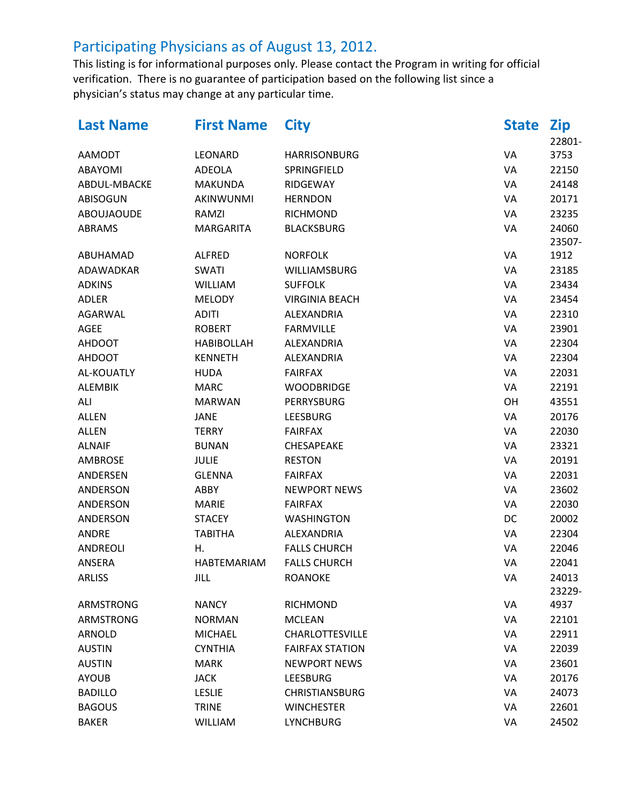| <b>Last Name</b>  | <b>First Name</b> | <b>City</b>            | <b>State</b> | <b>Zip</b> |
|-------------------|-------------------|------------------------|--------------|------------|
|                   |                   |                        |              | 22801-     |
| <b>AAMODT</b>     | LEONARD           | <b>HARRISONBURG</b>    | VA           | 3753       |
| ABAYOMI           | <b>ADEOLA</b>     | SPRINGFIELD            | VA           | 22150      |
| ABDUL-MBACKE      | <b>MAKUNDA</b>    | RIDGEWAY               | VA           | 24148      |
| <b>ABISOGUN</b>   | AKINWUNMI         | <b>HERNDON</b>         | VA           | 20171      |
| <b>ABOUJAOUDE</b> | RAMZI             | <b>RICHMOND</b>        | VA           | 23235      |
| ABRAMS            | <b>MARGARITA</b>  | <b>BLACKSBURG</b>      | VA           | 24060      |
|                   |                   |                        |              | 23507-     |
| ABUHAMAD          | <b>ALFRED</b>     | <b>NORFOLK</b>         | VA           | 1912       |
| ADAWADKAR         | <b>SWATI</b>      | WILLIAMSBURG           | VA           | 23185      |
| <b>ADKINS</b>     | <b>WILLIAM</b>    | <b>SUFFOLK</b>         | VA           | 23434      |
| <b>ADLER</b>      | <b>MELODY</b>     | <b>VIRGINIA BEACH</b>  | VA           | 23454      |
| AGARWAL           | <b>ADITI</b>      | ALEXANDRIA             | VA           | 22310      |
| AGEE              | <b>ROBERT</b>     | <b>FARMVILLE</b>       | VA           | 23901      |
| <b>AHDOOT</b>     | <b>HABIBOLLAH</b> | ALEXANDRIA             | VA           | 22304      |
| <b>AHDOOT</b>     | <b>KENNETH</b>    | ALEXANDRIA             | VA           | 22304      |
| AL-KOUATLY        | <b>HUDA</b>       | <b>FAIRFAX</b>         | VA           | 22031      |
| <b>ALEMBIK</b>    | <b>MARC</b>       | <b>WOODBRIDGE</b>      | VA           | 22191      |
| ALI               | <b>MARWAN</b>     | PERRYSBURG             | OH           | 43551      |
| <b>ALLEN</b>      | <b>JANE</b>       | <b>LEESBURG</b>        | VA           | 20176      |
| <b>ALLEN</b>      | <b>TERRY</b>      | <b>FAIRFAX</b>         | VA           | 22030      |
| <b>ALNAIF</b>     | <b>BUNAN</b>      | CHESAPEAKE             | VA           | 23321      |
| <b>AMBROSE</b>    | <b>JULIE</b>      | <b>RESTON</b>          | VA           | 20191      |
| ANDERSEN          | <b>GLENNA</b>     | <b>FAIRFAX</b>         | VA           | 22031      |
| ANDERSON          | ABBY              | <b>NEWPORT NEWS</b>    | VA           | 23602      |
| ANDERSON          | <b>MARIE</b>      | <b>FAIRFAX</b>         | VA           | 22030      |
| ANDERSON          | <b>STACEY</b>     | <b>WASHINGTON</b>      | DC           | 20002      |
| <b>ANDRE</b>      | <b>TABITHA</b>    | ALEXANDRIA             | VA           | 22304      |
| ANDREOLI          | Η.                | <b>FALLS CHURCH</b>    | VA           | 22046      |
| ANSERA            | HABTEMARIAM       | <b>FALLS CHURCH</b>    | VA           | 22041      |
| <b>ARLISS</b>     | JILL              | <b>ROANOKE</b>         | VA           | 24013      |
|                   |                   |                        |              | 23229-     |
| <b>ARMSTRONG</b>  | <b>NANCY</b>      | <b>RICHMOND</b>        | VA           | 4937       |
| ARMSTRONG         | <b>NORMAN</b>     | <b>MCLEAN</b>          | VA           | 22101      |
| <b>ARNOLD</b>     | <b>MICHAEL</b>    | <b>CHARLOTTESVILLE</b> | VA           | 22911      |
| <b>AUSTIN</b>     | <b>CYNTHIA</b>    | <b>FAIRFAX STATION</b> | VA           | 22039      |
| <b>AUSTIN</b>     | <b>MARK</b>       | <b>NEWPORT NEWS</b>    | VA           | 23601      |
| <b>AYOUB</b>      | <b>JACK</b>       | <b>LEESBURG</b>        | VA           | 20176      |
| <b>BADILLO</b>    | <b>LESLIE</b>     | <b>CHRISTIANSBURG</b>  | VA           | 24073      |
| <b>BAGOUS</b>     | <b>TRINE</b>      | <b>WINCHESTER</b>      | VA           | 22601      |
| <b>BAKER</b>      | <b>WILLIAM</b>    | <b>LYNCHBURG</b>       | VA           | 24502      |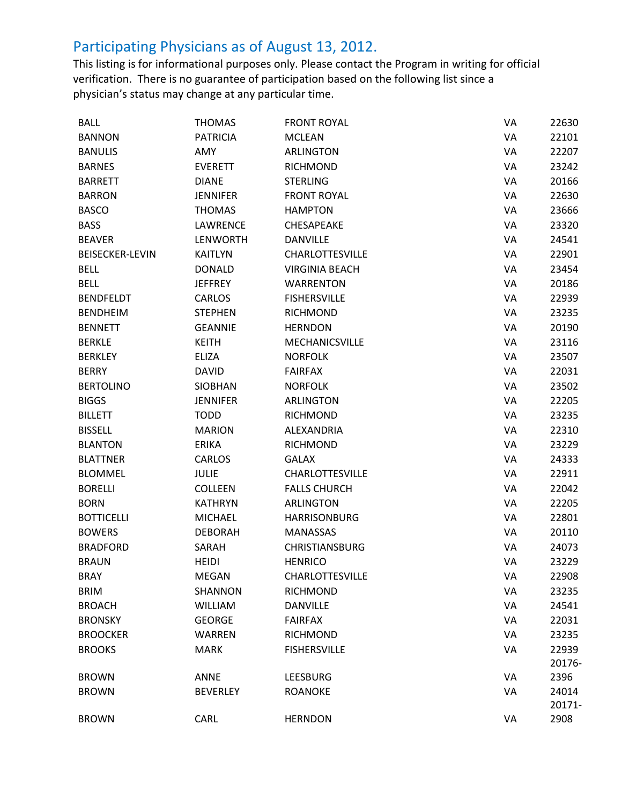| <b>BALL</b>            | <b>THOMAS</b>   | <b>FRONT ROYAL</b>     | VA | 22630  |
|------------------------|-----------------|------------------------|----|--------|
| <b>BANNON</b>          | <b>PATRICIA</b> | <b>MCLEAN</b>          | VA | 22101  |
| <b>BANULIS</b>         | AMY             | <b>ARLINGTON</b>       | VA | 22207  |
| <b>BARNES</b>          | <b>EVERETT</b>  | <b>RICHMOND</b>        | VA | 23242  |
| <b>BARRETT</b>         | <b>DIANE</b>    | <b>STERLING</b>        | VA | 20166  |
| <b>BARRON</b>          | <b>JENNIFER</b> | <b>FRONT ROYAL</b>     | VA | 22630  |
| <b>BASCO</b>           | <b>THOMAS</b>   | <b>HAMPTON</b>         | VA | 23666  |
| <b>BASS</b>            | <b>LAWRENCE</b> | <b>CHESAPEAKE</b>      | VA | 23320  |
| <b>BEAVER</b>          | <b>LENWORTH</b> | DANVILLE               | VA | 24541  |
| <b>BEISECKER-LEVIN</b> | <b>KAITLYN</b>  | <b>CHARLOTTESVILLE</b> | VA | 22901  |
| <b>BELL</b>            | <b>DONALD</b>   | <b>VIRGINIA BEACH</b>  | VA | 23454  |
| <b>BELL</b>            | <b>JEFFREY</b>  | <b>WARRENTON</b>       | VA | 20186  |
| <b>BENDFELDT</b>       | <b>CARLOS</b>   | <b>FISHERSVILLE</b>    | VA | 22939  |
| <b>BENDHEIM</b>        | <b>STEPHEN</b>  | <b>RICHMOND</b>        | VA | 23235  |
| <b>BENNETT</b>         | <b>GEANNIE</b>  | <b>HERNDON</b>         | VA | 20190  |
| <b>BERKLE</b>          | <b>KEITH</b>    | MECHANICSVILLE         | VA | 23116  |
| <b>BERKLEY</b>         | <b>ELIZA</b>    | <b>NORFOLK</b>         | VA | 23507  |
| <b>BERRY</b>           | <b>DAVID</b>    | <b>FAIRFAX</b>         | VA | 22031  |
| <b>BERTOLINO</b>       | <b>SIOBHAN</b>  | <b>NORFOLK</b>         | VA | 23502  |
| <b>BIGGS</b>           | <b>JENNIFER</b> | <b>ARLINGTON</b>       | VA | 22205  |
| <b>BILLETT</b>         | <b>TODD</b>     | <b>RICHMOND</b>        | VA | 23235  |
| <b>BISSELL</b>         | <b>MARION</b>   | ALEXANDRIA             | VA | 22310  |
| <b>BLANTON</b>         | <b>ERIKA</b>    | <b>RICHMOND</b>        | VA | 23229  |
| <b>BLATTNER</b>        | <b>CARLOS</b>   | <b>GALAX</b>           | VA | 24333  |
| <b>BLOMMEL</b>         | <b>JULIE</b>    | <b>CHARLOTTESVILLE</b> | VA | 22911  |
| <b>BORELLI</b>         | <b>COLLEEN</b>  | <b>FALLS CHURCH</b>    | VA | 22042  |
| <b>BORN</b>            | <b>KATHRYN</b>  | <b>ARLINGTON</b>       | VA | 22205  |
| <b>BOTTICELLI</b>      | MICHAEL         | <b>HARRISONBURG</b>    | VA | 22801  |
| <b>BOWERS</b>          | <b>DEBORAH</b>  | <b>MANASSAS</b>        | VA | 20110  |
| <b>BRADFORD</b>        | SARAH           | <b>CHRISTIANSBURG</b>  | VA | 24073  |
| <b>BRAUN</b>           | <b>HEIDI</b>    | <b>HENRICO</b>         | VA | 23229  |
| <b>BRAY</b>            | MEGAN           | <b>CHARLOTTESVILLE</b> | VA | 22908  |
| <b>BRIM</b>            | SHANNON         | <b>RICHMOND</b>        | VA | 23235  |
| <b>BROACH</b>          | <b>WILLIAM</b>  | <b>DANVILLE</b>        | VA | 24541  |
| <b>BRONSKY</b>         | <b>GEORGE</b>   | <b>FAIRFAX</b>         | VA | 22031  |
| <b>BROOCKER</b>        | WARREN          | <b>RICHMOND</b>        | VA | 23235  |
| <b>BROOKS</b>          | <b>MARK</b>     | <b>FISHERSVILLE</b>    | VA | 22939  |
|                        |                 |                        |    | 20176- |
| <b>BROWN</b>           | ANNE            | <b>LEESBURG</b>        | VA | 2396   |
| <b>BROWN</b>           | <b>BEVERLEY</b> | <b>ROANOKE</b>         | VA | 24014  |
|                        |                 |                        |    | 20171- |
| <b>BROWN</b>           | CARL            | <b>HERNDON</b>         | VA | 2908   |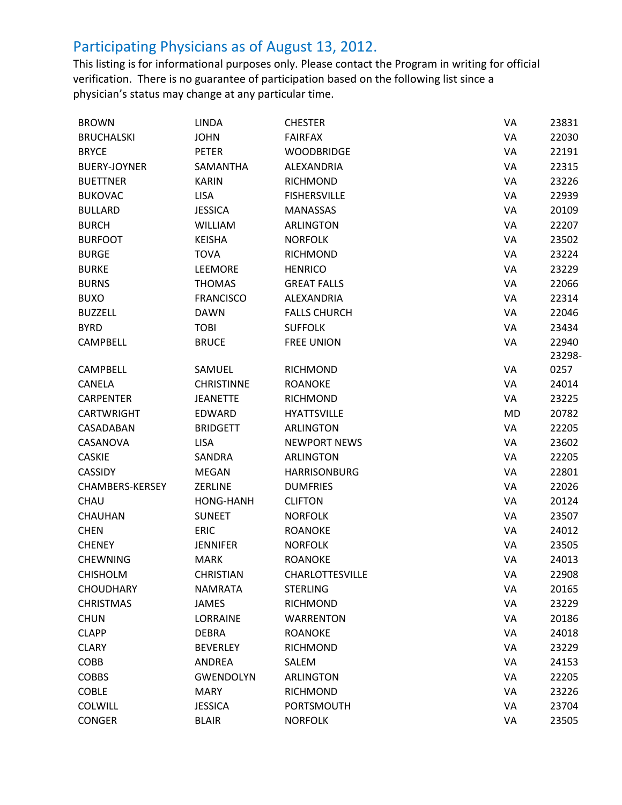| <b>BROWN</b>        | <b>LINDA</b>      | <b>CHESTER</b>      | VA        | 23831  |
|---------------------|-------------------|---------------------|-----------|--------|
| <b>BRUCHALSKI</b>   | <b>JOHN</b>       | <b>FAIRFAX</b>      | VA        | 22030  |
| <b>BRYCE</b>        | <b>PETER</b>      | <b>WOODBRIDGE</b>   | VA        | 22191  |
| <b>BUERY-JOYNER</b> | SAMANTHA          | ALEXANDRIA          | VA        | 22315  |
| <b>BUETTNER</b>     | <b>KARIN</b>      | <b>RICHMOND</b>     | VA        | 23226  |
| <b>BUKOVAC</b>      | <b>LISA</b>       | <b>FISHERSVILLE</b> | VA        | 22939  |
| <b>BULLARD</b>      | <b>JESSICA</b>    | <b>MANASSAS</b>     | VA        | 20109  |
| <b>BURCH</b>        | <b>WILLIAM</b>    | <b>ARLINGTON</b>    | VA        | 22207  |
| <b>BURFOOT</b>      | <b>KEISHA</b>     | <b>NORFOLK</b>      | VA        | 23502  |
| <b>BURGE</b>        | <b>TOVA</b>       | RICHMOND            | VA        | 23224  |
| <b>BURKE</b>        | LEEMORE           | <b>HENRICO</b>      | VA        | 23229  |
| <b>BURNS</b>        | <b>THOMAS</b>     | <b>GREAT FALLS</b>  | VA        | 22066  |
| <b>BUXO</b>         | <b>FRANCISCO</b>  | ALEXANDRIA          | VA        | 22314  |
| <b>BUZZELL</b>      | <b>DAWN</b>       | <b>FALLS CHURCH</b> | VA        | 22046  |
| <b>BYRD</b>         | <b>TOBI</b>       | <b>SUFFOLK</b>      | VA        | 23434  |
| <b>CAMPBELL</b>     | <b>BRUCE</b>      | <b>FREE UNION</b>   | VA        | 22940  |
|                     |                   |                     |           | 23298- |
| <b>CAMPBELL</b>     | SAMUEL            | <b>RICHMOND</b>     | VA        | 0257   |
| <b>CANELA</b>       | <b>CHRISTINNE</b> | <b>ROANOKE</b>      | VA        | 24014  |
| <b>CARPENTER</b>    | <b>JEANETTE</b>   | <b>RICHMOND</b>     | VA        | 23225  |
| <b>CARTWRIGHT</b>   | <b>EDWARD</b>     | <b>HYATTSVILLE</b>  | <b>MD</b> | 20782  |
| CASADABAN           | <b>BRIDGETT</b>   | <b>ARLINGTON</b>    | VA        | 22205  |
| CASANOVA            | <b>LISA</b>       | <b>NEWPORT NEWS</b> | VA        | 23602  |
| <b>CASKIE</b>       | SANDRA            | <b>ARLINGTON</b>    | VA        | 22205  |
| <b>CASSIDY</b>      | <b>MEGAN</b>      | <b>HARRISONBURG</b> | VA        | 22801  |
| CHAMBERS-KERSEY     | <b>ZERLINE</b>    | <b>DUMFRIES</b>     | VA        | 22026  |
| CHAU                | HONG-HANH         | <b>CLIFTON</b>      | VA        | 20124  |
| <b>CHAUHAN</b>      | <b>SUNEET</b>     | <b>NORFOLK</b>      | VA        | 23507  |
| <b>CHEN</b>         | <b>ERIC</b>       | <b>ROANOKE</b>      | VA        | 24012  |
| <b>CHENEY</b>       | <b>JENNIFER</b>   | <b>NORFOLK</b>      | VA        | 23505  |
| <b>CHEWNING</b>     | <b>MARK</b>       | <b>ROANOKE</b>      | VA        | 24013  |
| <b>CHISHOLM</b>     | <b>CHRISTIAN</b>  | CHARLOTTESVILLE     | VA        | 22908  |
| <b>CHOUDHARY</b>    | <b>NAMRATA</b>    | <b>STERLING</b>     | VA        | 20165  |
| <b>CHRISTMAS</b>    | <b>JAMES</b>      | RICHMOND            | VA        | 23229  |
| <b>CHUN</b>         | LORRAINE          | <b>WARRENTON</b>    | VA        | 20186  |
| <b>CLAPP</b>        | <b>DEBRA</b>      | <b>ROANOKE</b>      | VA        | 24018  |
| <b>CLARY</b>        | <b>BEVERLEY</b>   | <b>RICHMOND</b>     | VA        | 23229  |
| COBB                | <b>ANDREA</b>     | SALEM               | VA        | 24153  |
| <b>COBBS</b>        | <b>GWENDOLYN</b>  | <b>ARLINGTON</b>    | VA        | 22205  |
| <b>COBLE</b>        | <b>MARY</b>       | <b>RICHMOND</b>     | VA        | 23226  |
| <b>COLWILL</b>      | <b>JESSICA</b>    | <b>PORTSMOUTH</b>   | VA        | 23704  |
| <b>CONGER</b>       | <b>BLAIR</b>      | <b>NORFOLK</b>      | VA        | 23505  |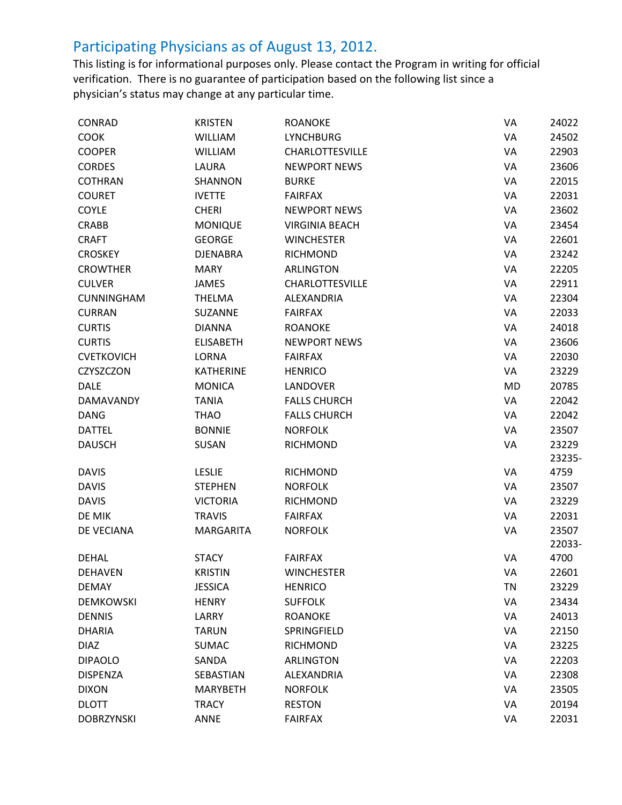| CONRAD            | <b>KRISTEN</b>   | <b>ROANOKE</b>         | VA        | 24022  |
|-------------------|------------------|------------------------|-----------|--------|
| COOK              | <b>WILLIAM</b>   | <b>LYNCHBURG</b>       | VA        | 24502  |
| <b>COOPER</b>     | <b>WILLIAM</b>   | <b>CHARLOTTESVILLE</b> | VA        | 22903  |
| <b>CORDES</b>     | LAURA            | <b>NEWPORT NEWS</b>    | VA        | 23606  |
| <b>COTHRAN</b>    | SHANNON          | <b>BURKE</b>           | VA        | 22015  |
| <b>COURET</b>     | <b>IVETTE</b>    | <b>FAIRFAX</b>         | VA        | 22031  |
| COYLE             | <b>CHERI</b>     | <b>NEWPORT NEWS</b>    | VA        | 23602  |
| <b>CRABB</b>      | <b>MONIQUE</b>   | <b>VIRGINIA BEACH</b>  | VA        | 23454  |
| <b>CRAFT</b>      | <b>GEORGE</b>    | <b>WINCHESTER</b>      | VA        | 22601  |
| <b>CROSKEY</b>    | <b>DJENABRA</b>  | <b>RICHMOND</b>        | VA        | 23242  |
| <b>CROWTHER</b>   | <b>MARY</b>      | <b>ARLINGTON</b>       | VA        | 22205  |
| <b>CULVER</b>     | <b>JAMES</b>     | <b>CHARLOTTESVILLE</b> | VA        | 22911  |
| <b>CUNNINGHAM</b> | <b>THELMA</b>    | ALEXANDRIA             | VA        | 22304  |
| <b>CURRAN</b>     | SUZANNE          | <b>FAIRFAX</b>         | VA        | 22033  |
| <b>CURTIS</b>     | <b>DIANNA</b>    | <b>ROANOKE</b>         | VA        | 24018  |
| <b>CURTIS</b>     | <b>ELISABETH</b> | <b>NEWPORT NEWS</b>    | VA        | 23606  |
| <b>CVETKOVICH</b> | LORNA            | <b>FAIRFAX</b>         | VA        | 22030  |
| CZYSZCZON         | <b>KATHERINE</b> | <b>HENRICO</b>         | VA        | 23229  |
| <b>DALE</b>       | <b>MONICA</b>    | <b>LANDOVER</b>        | <b>MD</b> | 20785  |
| DAMAVANDY         | <b>TANIA</b>     | <b>FALLS CHURCH</b>    | VA        | 22042  |
| <b>DANG</b>       | <b>THAO</b>      | <b>FALLS CHURCH</b>    | VA        | 22042  |
| <b>DATTEL</b>     | <b>BONNIE</b>    | <b>NORFOLK</b>         | VA        | 23507  |
| <b>DAUSCH</b>     | SUSAN            | <b>RICHMOND</b>        | VA        | 23229  |
|                   |                  |                        |           | 23235- |
| <b>DAVIS</b>      | <b>LESLIE</b>    | <b>RICHMOND</b>        | VA        | 4759   |
| <b>DAVIS</b>      | <b>STEPHEN</b>   | <b>NORFOLK</b>         | VA        | 23507  |
| <b>DAVIS</b>      | <b>VICTORIA</b>  | <b>RICHMOND</b>        | VA        | 23229  |
| DE MIK            | <b>TRAVIS</b>    | <b>FAIRFAX</b>         | VA        | 22031  |
| DE VECIANA        | <b>MARGARITA</b> | <b>NORFOLK</b>         | VA        | 23507  |
|                   |                  |                        |           | 22033- |
| <b>DEHAL</b>      | <b>STACY</b>     | <b>FAIRFAX</b>         | VA        | 4700   |
| DEHAVEN           | <b>KRISTIN</b>   | <b>WINCHESTER</b>      | VA        | 22601  |
| <b>DEMAY</b>      | <b>JESSICA</b>   | <b>HENRICO</b>         | <b>TN</b> | 23229  |
| <b>DEMKOWSKI</b>  | <b>HENRY</b>     | <b>SUFFOLK</b>         | VA        | 23434  |
| <b>DENNIS</b>     | LARRY            | <b>ROANOKE</b>         | VA        | 24013  |
| <b>DHARIA</b>     | <b>TARUN</b>     | SPRINGFIELD            | VA        | 22150  |
| <b>DIAZ</b>       | <b>SUMAC</b>     | <b>RICHMOND</b>        | VA        | 23225  |
| <b>DIPAOLO</b>    | SANDA            | <b>ARLINGTON</b>       | VA        | 22203  |
| <b>DISPENZA</b>   | SEBASTIAN        | ALEXANDRIA             | VA        | 22308  |
| <b>DIXON</b>      | <b>MARYBETH</b>  | <b>NORFOLK</b>         | VA        | 23505  |
| <b>DLOTT</b>      | <b>TRACY</b>     | <b>RESTON</b>          | VA        | 20194  |
| <b>DOBRZYNSKI</b> | ANNE             | <b>FAIRFAX</b>         | VA        | 22031  |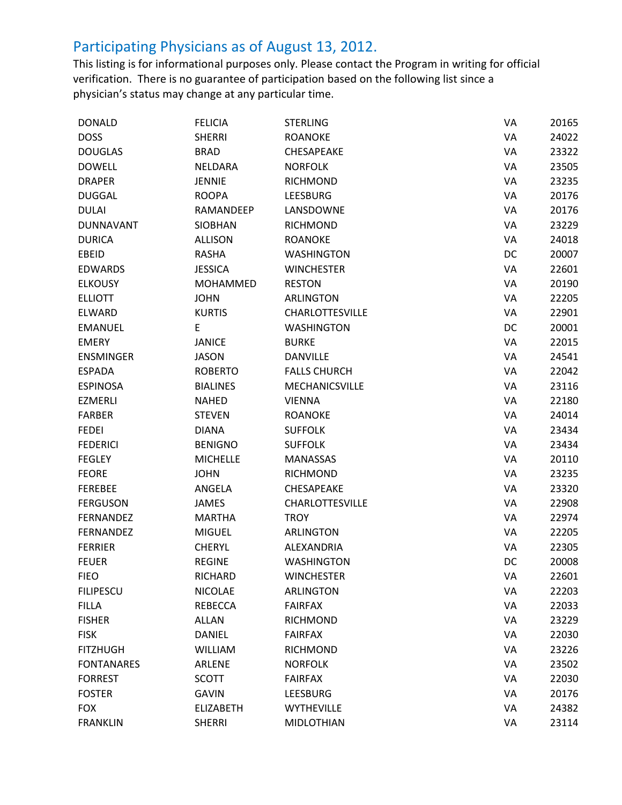| <b>DONALD</b>     | <b>FELICIA</b>   | <b>STERLING</b>        | VA | 20165 |
|-------------------|------------------|------------------------|----|-------|
| <b>DOSS</b>       | <b>SHERRI</b>    | <b>ROANOKE</b>         | VA | 24022 |
| <b>DOUGLAS</b>    | <b>BRAD</b>      | <b>CHESAPEAKE</b>      | VA | 23322 |
| <b>DOWELL</b>     | NELDARA          | <b>NORFOLK</b>         | VA | 23505 |
| <b>DRAPER</b>     | <b>JENNIE</b>    | <b>RICHMOND</b>        | VA | 23235 |
| <b>DUGGAL</b>     | <b>ROOPA</b>     | <b>LEESBURG</b>        | VA | 20176 |
| <b>DULAI</b>      | RAMANDEEP        | LANSDOWNE              | VA | 20176 |
| <b>DUNNAVANT</b>  | <b>SIOBHAN</b>   | <b>RICHMOND</b>        | VA | 23229 |
| <b>DURICA</b>     | <b>ALLISON</b>   | <b>ROANOKE</b>         | VA | 24018 |
| EBEID             | <b>RASHA</b>     | <b>WASHINGTON</b>      | DC | 20007 |
| <b>EDWARDS</b>    | <b>JESSICA</b>   | <b>WINCHESTER</b>      | VA | 22601 |
| <b>ELKOUSY</b>    | <b>MOHAMMED</b>  | <b>RESTON</b>          | VA | 20190 |
| <b>ELLIOTT</b>    | <b>JOHN</b>      | ARLINGTON              | VA | 22205 |
| <b>ELWARD</b>     | <b>KURTIS</b>    | <b>CHARLOTTESVILLE</b> | VA | 22901 |
| <b>EMANUEL</b>    | E                | <b>WASHINGTON</b>      | DC | 20001 |
| <b>EMERY</b>      | <b>JANICE</b>    | <b>BURKE</b>           | VA | 22015 |
| <b>ENSMINGER</b>  | <b>JASON</b>     | <b>DANVILLE</b>        | VA | 24541 |
| <b>ESPADA</b>     | <b>ROBERTO</b>   | <b>FALLS CHURCH</b>    | VA | 22042 |
| <b>ESPINOSA</b>   | <b>BIALINES</b>  | MECHANICSVILLE         | VA | 23116 |
| <b>EZMERLI</b>    | <b>NAHED</b>     | <b>VIENNA</b>          | VA | 22180 |
| <b>FARBER</b>     | <b>STEVEN</b>    | <b>ROANOKE</b>         | VA | 24014 |
| <b>FEDEI</b>      | <b>DIANA</b>     | <b>SUFFOLK</b>         | VA | 23434 |
| <b>FEDERICI</b>   | <b>BENIGNO</b>   | <b>SUFFOLK</b>         | VA | 23434 |
| <b>FEGLEY</b>     | <b>MICHELLE</b>  | <b>MANASSAS</b>        | VA | 20110 |
| <b>FEORE</b>      | <b>JOHN</b>      | <b>RICHMOND</b>        | VA | 23235 |
| <b>FEREBEE</b>    | ANGELA           | CHESAPEAKE             | VA | 23320 |
| <b>FERGUSON</b>   | <b>JAMES</b>     | <b>CHARLOTTESVILLE</b> | VA | 22908 |
| <b>FERNANDEZ</b>  | <b>MARTHA</b>    | <b>TROY</b>            | VA | 22974 |
| FERNANDEZ         | <b>MIGUEL</b>    | <b>ARLINGTON</b>       | VA | 22205 |
| <b>FERRIER</b>    | <b>CHERYL</b>    | ALEXANDRIA             | VA | 22305 |
| <b>FEUER</b>      | <b>REGINE</b>    | <b>WASHINGTON</b>      | DC | 20008 |
| <b>FIEO</b>       | <b>RICHARD</b>   | <b>WINCHESTER</b>      | VA | 22601 |
| <b>FILIPESCU</b>  | <b>NICOLAE</b>   | <b>ARLINGTON</b>       | VA | 22203 |
| <b>FILLA</b>      | <b>REBECCA</b>   | <b>FAIRFAX</b>         | VA | 22033 |
| <b>FISHER</b>     | <b>ALLAN</b>     | <b>RICHMOND</b>        | VA | 23229 |
| <b>FISK</b>       | <b>DANIEL</b>    | <b>FAIRFAX</b>         | VA | 22030 |
| <b>FITZHUGH</b>   | <b>WILLIAM</b>   | <b>RICHMOND</b>        | VA | 23226 |
| <b>FONTANARES</b> | <b>ARLENE</b>    | <b>NORFOLK</b>         | VA | 23502 |
| <b>FORREST</b>    | <b>SCOTT</b>     | <b>FAIRFAX</b>         | VA | 22030 |
| <b>FOSTER</b>     | <b>GAVIN</b>     | <b>LEESBURG</b>        | VA | 20176 |
| <b>FOX</b>        | <b>ELIZABETH</b> | <b>WYTHEVILLE</b>      | VA | 24382 |
| <b>FRANKLIN</b>   | <b>SHERRI</b>    | <b>MIDLOTHIAN</b>      | VA | 23114 |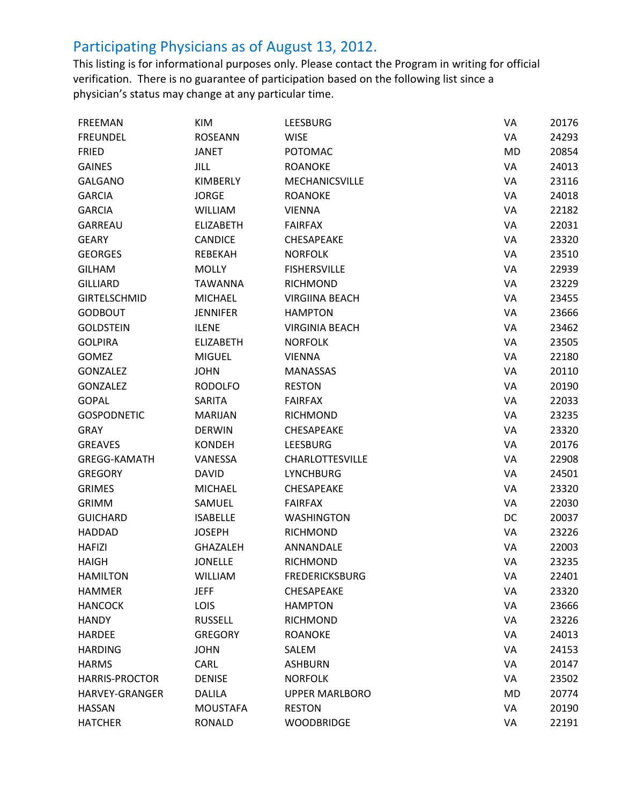| <b>FREEMAN</b>        | KIM              | <b>LEESBURG</b>        | VA        | 20176 |
|-----------------------|------------------|------------------------|-----------|-------|
| <b>FREUNDEL</b>       | <b>ROSEANN</b>   | <b>WISE</b>            | VA        | 24293 |
| <b>FRIED</b>          | <b>JANET</b>     | <b>POTOMAC</b>         | <b>MD</b> | 20854 |
| <b>GAINES</b>         | JILL             | <b>ROANOKE</b>         | VA        | 24013 |
| <b>GALGANO</b>        | <b>KIMBERLY</b>  | <b>MECHANICSVILLE</b>  | VA        | 23116 |
| <b>GARCIA</b>         | <b>JORGE</b>     | <b>ROANOKE</b>         | VA        | 24018 |
| <b>GARCIA</b>         | <b>WILLIAM</b>   | <b>VIENNA</b>          | VA        | 22182 |
| <b>GARREAU</b>        | <b>ELIZABETH</b> | <b>FAIRFAX</b>         | VA        | 22031 |
| <b>GEARY</b>          | <b>CANDICE</b>   | <b>CHESAPEAKE</b>      | VA        | 23320 |
| <b>GEORGES</b>        | <b>REBEKAH</b>   | <b>NORFOLK</b>         | VA        | 23510 |
| <b>GILHAM</b>         | <b>MOLLY</b>     | <b>FISHERSVILLE</b>    | VA        | 22939 |
| <b>GILLIARD</b>       | <b>TAWANNA</b>   | <b>RICHMOND</b>        | VA        | 23229 |
| <b>GIRTELSCHMID</b>   | <b>MICHAEL</b>   | <b>VIRGIINA BEACH</b>  | VA        | 23455 |
| <b>GODBOUT</b>        | <b>JENNIFER</b>  | <b>HAMPTON</b>         | VA        | 23666 |
| <b>GOLDSTEIN</b>      | <b>ILENE</b>     | <b>VIRGINIA BEACH</b>  | VA        | 23462 |
| <b>GOLPIRA</b>        | <b>ELIZABETH</b> | <b>NORFOLK</b>         | VA        | 23505 |
| <b>GOMEZ</b>          | <b>MIGUEL</b>    | <b>VIENNA</b>          | VA        | 22180 |
| <b>GONZALEZ</b>       | <b>JOHN</b>      | <b>MANASSAS</b>        | VA        | 20110 |
| <b>GONZALEZ</b>       | <b>RODOLFO</b>   | <b>RESTON</b>          | VA        | 20190 |
| <b>GOPAL</b>          | <b>SARITA</b>    | <b>FAIRFAX</b>         | VA        | 22033 |
| <b>GOSPODNETIC</b>    | <b>MARIJAN</b>   | <b>RICHMOND</b>        | VA        | 23235 |
| <b>GRAY</b>           | <b>DERWIN</b>    | <b>CHESAPEAKE</b>      | VA        | 23320 |
| <b>GREAVES</b>        | <b>KONDEH</b>    | <b>LEESBURG</b>        | VA        | 20176 |
| <b>GREGG-KAMATH</b>   | VANESSA          | <b>CHARLOTTESVILLE</b> | VA        | 22908 |
| <b>GREGORY</b>        | <b>DAVID</b>     | <b>LYNCHBURG</b>       | VA        | 24501 |
| <b>GRIMES</b>         | <b>MICHAEL</b>   | <b>CHESAPEAKE</b>      | VA        | 23320 |
| <b>GRIMM</b>          | SAMUEL           | <b>FAIRFAX</b>         | VA        | 22030 |
| <b>GUICHARD</b>       | <b>ISABELLE</b>  | <b>WASHINGTON</b>      | DC        | 20037 |
| <b>HADDAD</b>         | <b>JOSEPH</b>    | <b>RICHMOND</b>        | VA        | 23226 |
| <b>HAFIZI</b>         | <b>GHAZALEH</b>  | ANNANDALE              | VA        | 22003 |
| <b>HAIGH</b>          | <b>JONELLE</b>   | <b>RICHMOND</b>        | VA        | 23235 |
| <b>HAMILTON</b>       | WILLIAM          | <b>FREDERICKSBURG</b>  | VA        | 22401 |
| <b>HAMMER</b>         | <b>JEFF</b>      | CHESAPEAKE             | VA        | 23320 |
| <b>HANCOCK</b>        | LOIS             | <b>HAMPTON</b>         | VA        | 23666 |
| <b>HANDY</b>          | <b>RUSSELL</b>   | <b>RICHMOND</b>        | VA        | 23226 |
| <b>HARDEE</b>         | <b>GREGORY</b>   | <b>ROANOKE</b>         | VA        | 24013 |
| <b>HARDING</b>        | <b>JOHN</b>      | SALEM                  | VA        | 24153 |
| <b>HARMS</b>          | CARL             | <b>ASHBURN</b>         | VA        | 20147 |
| <b>HARRIS-PROCTOR</b> | <b>DENISE</b>    | <b>NORFOLK</b>         | VA        | 23502 |
| <b>HARVEY-GRANGER</b> | <b>DALILA</b>    | <b>UPPER MARLBORO</b>  | <b>MD</b> | 20774 |
| <b>HASSAN</b>         | <b>MOUSTAFA</b>  | <b>RESTON</b>          | VA        | 20190 |
| <b>HATCHER</b>        | <b>RONALD</b>    | <b>WOODBRIDGE</b>      | VA        | 22191 |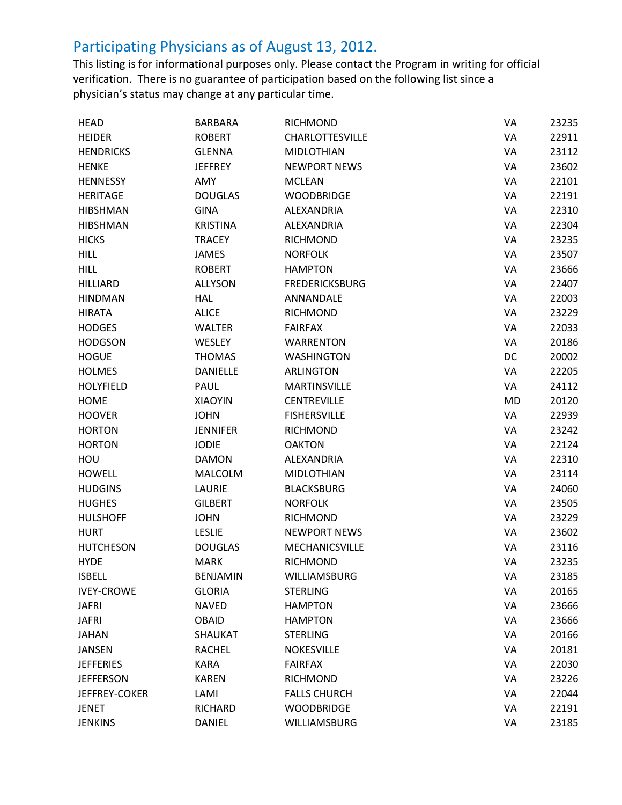| HEAD              | <b>BARBARA</b>  | <b>RICHMOND</b>        | VA        | 23235 |
|-------------------|-----------------|------------------------|-----------|-------|
| <b>HEIDER</b>     | <b>ROBERT</b>   | <b>CHARLOTTESVILLE</b> | VA        | 22911 |
| <b>HENDRICKS</b>  | <b>GLENNA</b>   | <b>MIDLOTHIAN</b>      | VA        | 23112 |
| <b>HENKE</b>      | <b>JEFFREY</b>  | <b>NEWPORT NEWS</b>    | VA        | 23602 |
| HENNESSY          | AMY             | <b>MCLEAN</b>          | VA        | 22101 |
| <b>HERITAGE</b>   | <b>DOUGLAS</b>  | <b>WOODBRIDGE</b>      | VA        | 22191 |
| <b>HIBSHMAN</b>   | <b>GINA</b>     | ALEXANDRIA             | VA        | 22310 |
| <b>HIBSHMAN</b>   | <b>KRISTINA</b> | <b>ALEXANDRIA</b>      | VA        | 22304 |
| <b>HICKS</b>      | <b>TRACEY</b>   | <b>RICHMOND</b>        | VA        | 23235 |
| <b>HILL</b>       | <b>JAMES</b>    | <b>NORFOLK</b>         | VA        | 23507 |
| <b>HILL</b>       | <b>ROBERT</b>   | <b>HAMPTON</b>         | VA        | 23666 |
| <b>HILLIARD</b>   | <b>ALLYSON</b>  | <b>FREDERICKSBURG</b>  | VA        | 22407 |
| <b>HINDMAN</b>    | <b>HAL</b>      | ANNANDALE              | VA        | 22003 |
| <b>HIRATA</b>     | <b>ALICE</b>    | <b>RICHMOND</b>        | VA        | 23229 |
| <b>HODGES</b>     | <b>WALTER</b>   | <b>FAIRFAX</b>         | VA        | 22033 |
| <b>HODGSON</b>    | <b>WESLEY</b>   | <b>WARRENTON</b>       | VA        | 20186 |
| <b>HOGUE</b>      | <b>THOMAS</b>   | <b>WASHINGTON</b>      | DC        | 20002 |
| <b>HOLMES</b>     | <b>DANIELLE</b> | <b>ARLINGTON</b>       | VA        | 22205 |
| <b>HOLYFIELD</b>  | PAUL            | <b>MARTINSVILLE</b>    | VA        | 24112 |
| <b>HOME</b>       | <b>XIAOYIN</b>  | <b>CENTREVILLE</b>     | <b>MD</b> | 20120 |
| <b>HOOVER</b>     | <b>JOHN</b>     | <b>FISHERSVILLE</b>    | VA        | 22939 |
| <b>HORTON</b>     | <b>JENNIFER</b> | <b>RICHMOND</b>        | VA        | 23242 |
| <b>HORTON</b>     | <b>JODIE</b>    | <b>OAKTON</b>          | VA        | 22124 |
| HOU               | <b>DAMON</b>    | ALEXANDRIA             | VA        | 22310 |
| <b>HOWELL</b>     | <b>MALCOLM</b>  | <b>MIDLOTHIAN</b>      | VA        | 23114 |
| <b>HUDGINS</b>    | LAURIE          | <b>BLACKSBURG</b>      | VA        | 24060 |
| <b>HUGHES</b>     | <b>GILBERT</b>  | <b>NORFOLK</b>         | VA        | 23505 |
| <b>HULSHOFF</b>   | <b>JOHN</b>     | <b>RICHMOND</b>        | VA        | 23229 |
| <b>HURT</b>       | <b>LESLIE</b>   | <b>NEWPORT NEWS</b>    | VA        | 23602 |
| <b>HUTCHESON</b>  | <b>DOUGLAS</b>  | MECHANICSVILLE         | VA        | 23116 |
| <b>HYDE</b>       | <b>MARK</b>     | <b>RICHMOND</b>        | VA        | 23235 |
| <b>ISBELL</b>     | <b>BENJAMIN</b> | WILLIAMSBURG           | VA        | 23185 |
| <b>IVEY-CROWE</b> | <b>GLORIA</b>   | <b>STERLING</b>        | VA        | 20165 |
| <b>JAFRI</b>      | <b>NAVED</b>    | <b>HAMPTON</b>         | VA        | 23666 |
| <b>JAFRI</b>      | <b>OBAID</b>    | <b>HAMPTON</b>         | VA        | 23666 |
| <b>JAHAN</b>      | <b>SHAUKAT</b>  | <b>STERLING</b>        | VA        | 20166 |
| <b>JANSEN</b>     | <b>RACHEL</b>   | <b>NOKESVILLE</b>      | VA        | 20181 |
| <b>JEFFERIES</b>  | <b>KARA</b>     | <b>FAIRFAX</b>         | VA        | 22030 |
| <b>JEFFERSON</b>  | <b>KAREN</b>    | <b>RICHMOND</b>        | VA        | 23226 |
| JEFFREY-COKER     | LAMI            | <b>FALLS CHURCH</b>    | VA        | 22044 |
| <b>JENET</b>      | RICHARD         | <b>WOODBRIDGE</b>      | VA        | 22191 |
| <b>JENKINS</b>    | <b>DANIEL</b>   | WILLIAMSBURG           | VA        | 23185 |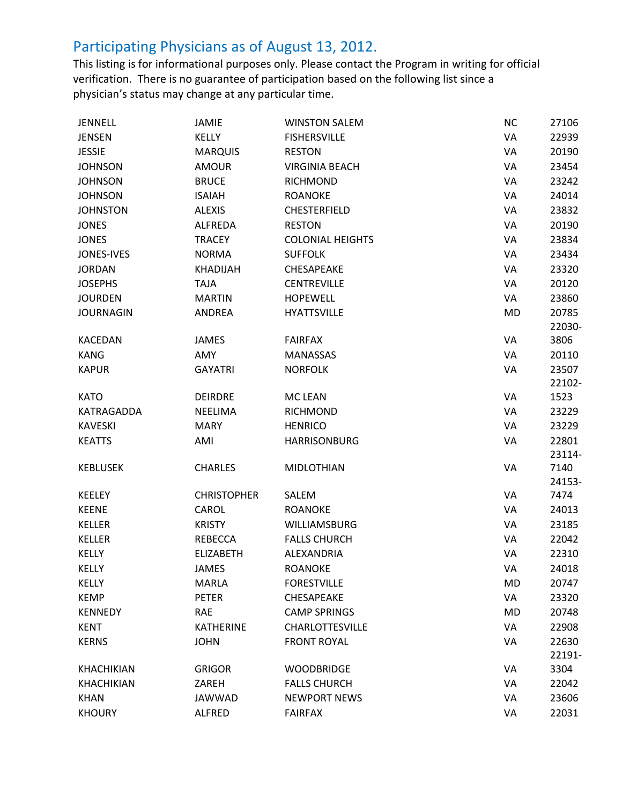| <b>JENNELL</b>    | JAMIE              | <b>WINSTON SALEM</b>                     | <b>NC</b> | 27106         |
|-------------------|--------------------|------------------------------------------|-----------|---------------|
| <b>JENSEN</b>     | <b>KELLY</b>       | <b>FISHERSVILLE</b>                      | VA        | 22939         |
| <b>JESSIE</b>     | <b>MARQUIS</b>     | <b>RESTON</b>                            | VA        | 20190         |
| <b>JOHNSON</b>    | <b>AMOUR</b>       | <b>VIRGINIA BEACH</b>                    | VA        | 23454         |
| <b>JOHNSON</b>    | <b>BRUCE</b>       | <b>RICHMOND</b>                          | VA        | 23242         |
| <b>JOHNSON</b>    | <b>ISAIAH</b>      | <b>ROANOKE</b>                           | VA        | 24014         |
| <b>JOHNSTON</b>   | <b>ALEXIS</b>      | <b>CHESTERFIELD</b>                      | VA        | 23832         |
| <b>JONES</b>      | <b>ALFREDA</b>     | <b>RESTON</b>                            | VA        | 20190         |
| <b>JONES</b>      | <b>TRACEY</b>      | <b>COLONIAL HEIGHTS</b>                  | VA        | 23834         |
| <b>JONES-IVES</b> | <b>NORMA</b>       | <b>SUFFOLK</b>                           | VA        | 23434         |
| <b>JORDAN</b>     | <b>KHADIJAH</b>    | CHESAPEAKE                               | VA        | 23320         |
| <b>JOSEPHS</b>    | <b>TAJA</b>        | <b>CENTREVILLE</b>                       | VA        | 20120         |
| <b>JOURDEN</b>    | <b>MARTIN</b>      | <b>HOPEWELL</b>                          | VA        | 23860         |
| <b>JOURNAGIN</b>  | ANDREA             | <b>HYATTSVILLE</b>                       | MD        | 20785         |
|                   |                    |                                          |           | 22030-        |
| <b>KACEDAN</b>    | JAMES              | <b>FAIRFAX</b>                           | VA        | 3806          |
| <b>KANG</b>       | AMY                | <b>MANASSAS</b>                          | VA        | 20110         |
| <b>KAPUR</b>      | <b>GAYATRI</b>     | <b>NORFOLK</b>                           | VA        | 23507         |
|                   |                    |                                          |           | 22102-        |
| <b>KATO</b>       | <b>DEIRDRE</b>     | <b>MC LEAN</b>                           | VA        | 1523          |
| KATRAGADDA        | <b>NEELIMA</b>     | <b>RICHMOND</b>                          | VA        | 23229         |
| <b>KAVESKI</b>    | <b>MARY</b>        | <b>HENRICO</b>                           | VA        | 23229         |
| <b>KEATTS</b>     | AMI                | <b>HARRISONBURG</b>                      | VA        | 22801         |
|                   |                    |                                          |           | 23114-        |
| <b>KEBLUSEK</b>   | <b>CHARLES</b>     | <b>MIDLOTHIAN</b>                        | VA        | 7140          |
|                   |                    |                                          |           | 24153-        |
| <b>KEELEY</b>     | <b>CHRISTOPHER</b> | SALEM                                    | VA        | 7474          |
| <b>KEENE</b>      | CAROL              | <b>ROANOKE</b>                           | VA        | 24013         |
| <b>KELLER</b>     | <b>KRISTY</b>      | <b>WILLIAMSBURG</b>                      | VA        | 23185         |
| KELLER            | <b>REBECCA</b>     | <b>FALLS CHURCH</b>                      | VA        | 22042         |
| <b>KELLY</b>      | <b>ELIZABETH</b>   | ALEXANDRIA                               | VA        | 22310         |
| <b>KELLY</b>      | <b>JAMES</b>       | <b>ROANOKE</b>                           | VA        | 24018         |
| <b>KELLY</b>      | <b>MARLA</b>       | <b>FORESTVILLE</b>                       | MD        | 20747         |
| <b>KEMP</b>       | <b>PETER</b>       | CHESAPEAKE                               | VA        | 23320         |
| <b>KENNEDY</b>    | <b>RAE</b>         | <b>CAMP SPRINGS</b>                      | <b>MD</b> | 20748         |
| <b>KENT</b>       | <b>KATHERINE</b>   | <b>CHARLOTTESVILLE</b>                   | VA        | 22908         |
| <b>KERNS</b>      | <b>JOHN</b>        | <b>FRONT ROYAL</b>                       | VA        | 22630         |
|                   |                    |                                          |           | 22191-        |
| <b>KHACHIKIAN</b> | <b>GRIGOR</b>      | <b>WOODBRIDGE</b><br><b>FALLS CHURCH</b> | VA<br>VA  | 3304<br>22042 |
| <b>KHACHIKIAN</b> | ZAREH              |                                          |           |               |
| <b>KHAN</b>       | JAWWAD             | <b>NEWPORT NEWS</b>                      | VA        | 23606         |
| <b>KHOURY</b>     | ALFRED             | <b>FAIRFAX</b>                           | VA        | 22031         |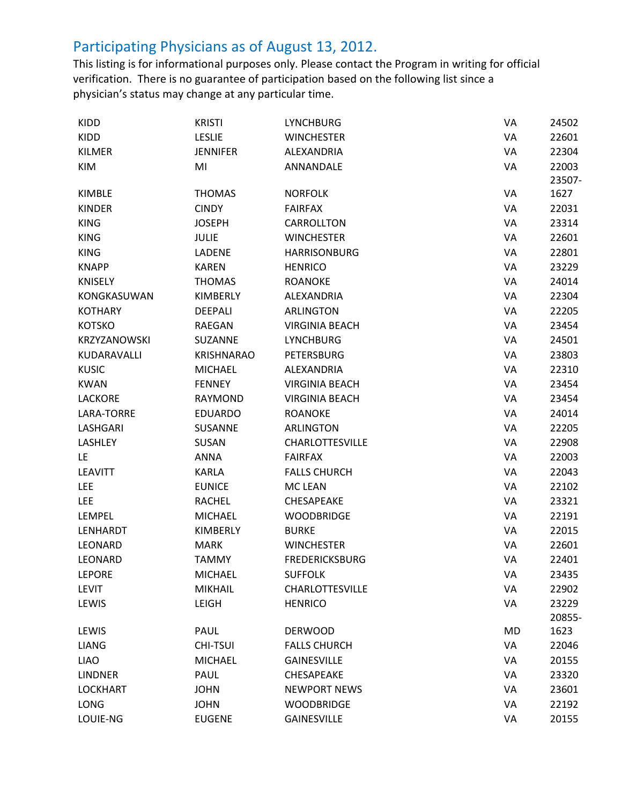| KIDD            | <b>KRISTI</b>     | <b>LYNCHBURG</b>       | VA | 24502  |
|-----------------|-------------------|------------------------|----|--------|
| KIDD            | <b>LESLIE</b>     | <b>WINCHESTER</b>      | VA | 22601  |
| KILMER          | <b>JENNIFER</b>   | ALEXANDRIA             | VA | 22304  |
| <b>KIM</b>      | MI                | ANNANDALE              | VA | 22003  |
|                 |                   |                        |    | 23507- |
| KIMBLE          | <b>THOMAS</b>     | <b>NORFOLK</b>         | VA | 1627   |
| <b>KINDER</b>   | <b>CINDY</b>      | <b>FAIRFAX</b>         | VA | 22031  |
| <b>KING</b>     | <b>JOSEPH</b>     | CARROLLTON             | VA | 23314  |
| <b>KING</b>     | <b>JULIE</b>      | <b>WINCHESTER</b>      | VA | 22601  |
| <b>KING</b>     | <b>LADENE</b>     | <b>HARRISONBURG</b>    | VA | 22801  |
| <b>KNAPP</b>    | <b>KAREN</b>      | <b>HENRICO</b>         | VA | 23229  |
| <b>KNISELY</b>  | <b>THOMAS</b>     | <b>ROANOKE</b>         | VA | 24014  |
| KONGKASUWAN     | KIMBERLY          | ALEXANDRIA             | VA | 22304  |
| <b>KOTHARY</b>  | <b>DEEPALI</b>    | ARLINGTON              | VA | 22205  |
| <b>KOTSKO</b>   | RAEGAN            | <b>VIRGINIA BEACH</b>  | VA | 23454  |
| KRZYZANOWSKI    | SUZANNE           | <b>LYNCHBURG</b>       | VA | 24501  |
| KUDARAVALLI     | <b>KRISHNARAO</b> | <b>PETERSBURG</b>      | VA | 23803  |
| <b>KUSIC</b>    | <b>MICHAEL</b>    | ALEXANDRIA             | VA | 22310  |
| <b>KWAN</b>     | <b>FENNEY</b>     | <b>VIRGINIA BEACH</b>  | VA | 23454  |
| <b>LACKORE</b>  | <b>RAYMOND</b>    | <b>VIRGINIA BEACH</b>  | VA | 23454  |
| LARA-TORRE      | <b>EDUARDO</b>    | <b>ROANOKE</b>         | VA | 24014  |
| LASHGARI        | SUSANNE           | <b>ARLINGTON</b>       | VA | 22205  |
| LASHLEY         | SUSAN             | <b>CHARLOTTESVILLE</b> | VA | 22908  |
| LE              | <b>ANNA</b>       | <b>FAIRFAX</b>         | VA | 22003  |
| <b>LEAVITT</b>  | <b>KARLA</b>      | <b>FALLS CHURCH</b>    | VA | 22043  |
| <b>LEE</b>      | <b>EUNICE</b>     | <b>MC LEAN</b>         | VA | 22102  |
| <b>LEE</b>      | <b>RACHEL</b>     | CHESAPEAKE             | VA | 23321  |
| LEMPEL          | <b>MICHAEL</b>    | <b>WOODBRIDGE</b>      | VA | 22191  |
| LENHARDT        | KIMBERLY          | <b>BURKE</b>           | VA | 22015  |
| <b>LEONARD</b>  | <b>MARK</b>       | <b>WINCHESTER</b>      | VA | 22601  |
| <b>LEONARD</b>  | <b>TAMMY</b>      | <b>FREDERICKSBURG</b>  | VA | 22401  |
| <b>LEPORE</b>   | <b>MICHAEL</b>    | <b>SUFFOLK</b>         | VA | 23435  |
| <b>LEVIT</b>    | <b>MIKHAIL</b>    | <b>CHARLOTTESVILLE</b> | VA | 22902  |
| LEWIS           | <b>LEIGH</b>      | <b>HENRICO</b>         | VA | 23229  |
|                 |                   |                        |    | 20855- |
| LEWIS           | PAUL              | <b>DERWOOD</b>         | MD | 1623   |
| <b>LIANG</b>    | <b>CHI-TSUI</b>   | <b>FALLS CHURCH</b>    | VA | 22046  |
| <b>LIAO</b>     | <b>MICHAEL</b>    | <b>GAINESVILLE</b>     | VA | 20155  |
| <b>LINDNER</b>  | <b>PAUL</b>       | CHESAPEAKE             | VA | 23320  |
| <b>LOCKHART</b> | <b>JOHN</b>       | <b>NEWPORT NEWS</b>    | VA | 23601  |
| LONG            | <b>JOHN</b>       | <b>WOODBRIDGE</b>      | VA | 22192  |
| LOUIE-NG        | <b>EUGENE</b>     | <b>GAINESVILLE</b>     | VA | 20155  |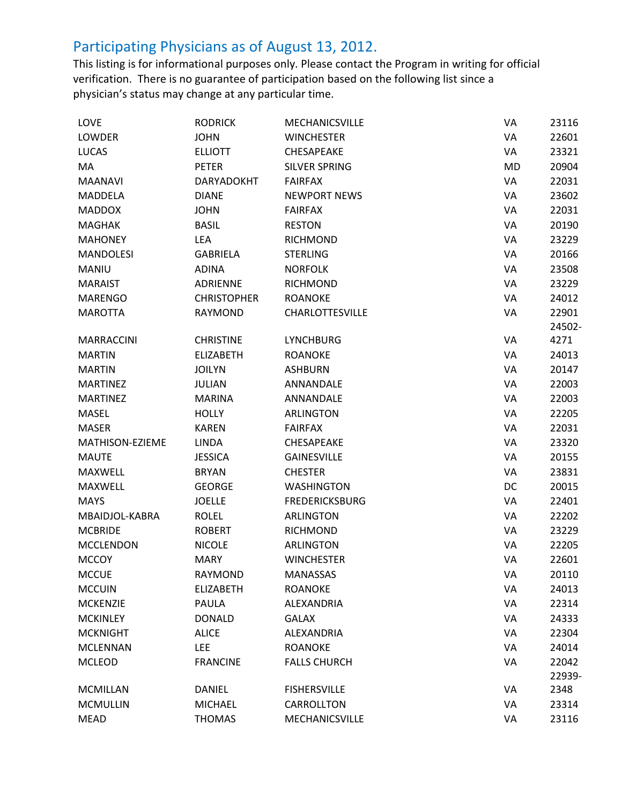| LOVE              | <b>RODRICK</b>     | MECHANICSVILLE         | VA | 23116  |
|-------------------|--------------------|------------------------|----|--------|
| <b>LOWDER</b>     | <b>JOHN</b>        | <b>WINCHESTER</b>      | VA | 22601  |
| <b>LUCAS</b>      | <b>ELLIOTT</b>     | <b>CHESAPEAKE</b>      | VA | 23321  |
| MA                | PETER              | <b>SILVER SPRING</b>   | MD | 20904  |
| <b>MAANAVI</b>    | <b>DARYADOKHT</b>  | <b>FAIRFAX</b>         | VA | 22031  |
| <b>MADDELA</b>    | <b>DIANE</b>       | <b>NEWPORT NEWS</b>    | VA | 23602  |
| <b>MADDOX</b>     | <b>JOHN</b>        | <b>FAIRFAX</b>         | VA | 22031  |
| <b>MAGHAK</b>     | <b>BASIL</b>       | <b>RESTON</b>          | VA | 20190  |
| <b>MAHONEY</b>    | LEA                | <b>RICHMOND</b>        | VA | 23229  |
| <b>MANDOLESI</b>  | <b>GABRIELA</b>    | <b>STERLING</b>        | VA | 20166  |
| MANIU             | <b>ADINA</b>       | <b>NORFOLK</b>         | VA | 23508  |
| <b>MARAIST</b>    | ADRIENNE           | <b>RICHMOND</b>        | VA | 23229  |
| <b>MARENGO</b>    | <b>CHRISTOPHER</b> | <b>ROANOKE</b>         | VA | 24012  |
| <b>MAROTTA</b>    | <b>RAYMOND</b>     | <b>CHARLOTTESVILLE</b> | VA | 22901  |
|                   |                    |                        |    | 24502- |
| <b>MARRACCINI</b> | <b>CHRISTINE</b>   | <b>LYNCHBURG</b>       | VA | 4271   |
| <b>MARTIN</b>     | <b>ELIZABETH</b>   | <b>ROANOKE</b>         | VA | 24013  |
| <b>MARTIN</b>     | <b>JOILYN</b>      | <b>ASHBURN</b>         | VA | 20147  |
| <b>MARTINEZ</b>   | <b>JULIAN</b>      | ANNANDALE              | VA | 22003  |
| <b>MARTINEZ</b>   | <b>MARINA</b>      | ANNANDALE              | VA | 22003  |
| MASEL             | <b>HOLLY</b>       | <b>ARLINGTON</b>       | VA | 22205  |
| <b>MASER</b>      | <b>KAREN</b>       | <b>FAIRFAX</b>         | VA | 22031  |
| MATHISON-EZIEME   | <b>LINDA</b>       | CHESAPEAKE             | VA | 23320  |
| <b>MAUTE</b>      | <b>JESSICA</b>     | <b>GAINESVILLE</b>     | VA | 20155  |
| <b>MAXWELL</b>    | <b>BRYAN</b>       | <b>CHESTER</b>         | VA | 23831  |
| <b>MAXWELL</b>    | <b>GEORGE</b>      | <b>WASHINGTON</b>      | DC | 20015  |
| <b>MAYS</b>       | <b>JOELLE</b>      | <b>FREDERICKSBURG</b>  | VA | 22401  |
| MBAIDJOL-KABRA    | <b>ROLEL</b>       | <b>ARLINGTON</b>       | VA | 22202  |
| <b>MCBRIDE</b>    | <b>ROBERT</b>      | <b>RICHMOND</b>        | VA | 23229  |
| <b>MCCLENDON</b>  | <b>NICOLE</b>      | <b>ARLINGTON</b>       | VA | 22205  |
| <b>MCCOY</b>      | <b>MARY</b>        | <b>WINCHESTER</b>      | VA | 22601  |
| <b>MCCUE</b>      | RAYMOND            | <b>MANASSAS</b>        | VA | 20110  |
| <b>MCCUIN</b>     | <b>ELIZABETH</b>   | <b>ROANOKE</b>         | VA | 24013  |
| <b>MCKENZIE</b>   | PAULA              | ALEXANDRIA             | VA | 22314  |
| <b>MCKINLEY</b>   | <b>DONALD</b>      | <b>GALAX</b>           | VA | 24333  |
| <b>MCKNIGHT</b>   | <b>ALICE</b>       | ALEXANDRIA             | VA | 22304  |
| <b>MCLENNAN</b>   | <b>LEE</b>         | <b>ROANOKE</b>         | VA | 24014  |
| <b>MCLEOD</b>     | <b>FRANCINE</b>    | <b>FALLS CHURCH</b>    | VA | 22042  |
|                   |                    |                        |    | 22939- |
| <b>MCMILLAN</b>   | <b>DANIEL</b>      | <b>FISHERSVILLE</b>    | VA | 2348   |
| <b>MCMULLIN</b>   | <b>MICHAEL</b>     | CARROLLTON             | VA | 23314  |
| <b>MEAD</b>       | <b>THOMAS</b>      | MECHANICSVILLE         | VA | 23116  |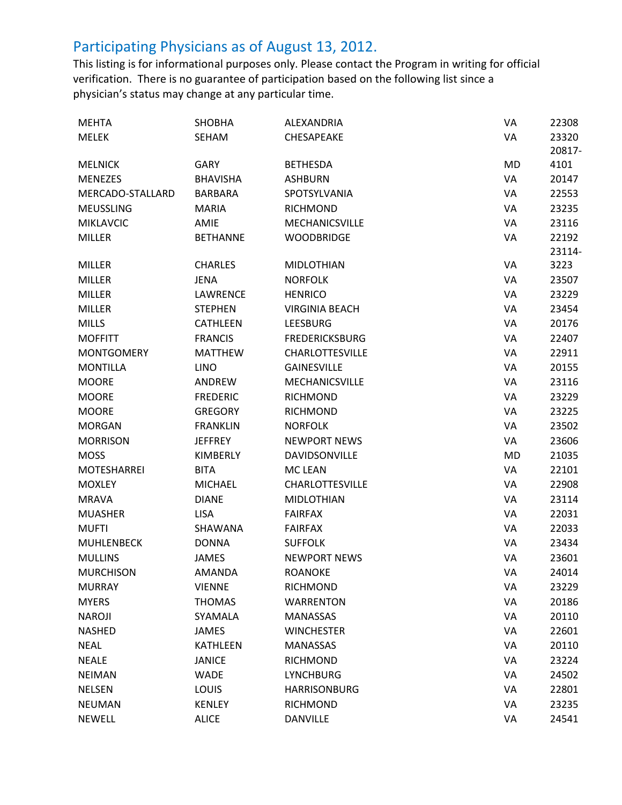| <b>MEHTA</b>       | <b>SHOBHA</b>   | ALEXANDRIA             | VA        | 22308  |
|--------------------|-----------------|------------------------|-----------|--------|
| <b>MELEK</b>       | SEHAM           | CHESAPEAKE             | VA        | 23320  |
|                    |                 |                        |           | 20817- |
| <b>MELNICK</b>     | <b>GARY</b>     | <b>BETHESDA</b>        | MD        | 4101   |
| <b>MENEZES</b>     | <b>BHAVISHA</b> | <b>ASHBURN</b>         | VA        | 20147  |
| MERCADO-STALLARD   | <b>BARBARA</b>  | SPOTSYLVANIA           | VA        | 22553  |
| <b>MEUSSLING</b>   | <b>MARIA</b>    | <b>RICHMOND</b>        | VA        | 23235  |
| <b>MIKLAVCIC</b>   | AMIE            | <b>MECHANICSVILLE</b>  | VA        | 23116  |
| <b>MILLER</b>      | <b>BETHANNE</b> | <b>WOODBRIDGE</b>      | VA        | 22192  |
|                    |                 |                        |           | 23114- |
| <b>MILLER</b>      | <b>CHARLES</b>  | <b>MIDLOTHIAN</b>      | VA        | 3223   |
| <b>MILLER</b>      | <b>JENA</b>     | <b>NORFOLK</b>         | VA        | 23507  |
| <b>MILLER</b>      | <b>LAWRENCE</b> | <b>HENRICO</b>         | VA        | 23229  |
| <b>MILLER</b>      | <b>STEPHEN</b>  | <b>VIRGINIA BEACH</b>  | VA        | 23454  |
| <b>MILLS</b>       | <b>CATHLEEN</b> | <b>LEESBURG</b>        | VA        | 20176  |
| <b>MOFFITT</b>     | <b>FRANCIS</b>  | <b>FREDERICKSBURG</b>  | VA        | 22407  |
| <b>MONTGOMERY</b>  | <b>MATTHEW</b>  | <b>CHARLOTTESVILLE</b> | VA        | 22911  |
| <b>MONTILLA</b>    | <b>LINO</b>     | <b>GAINESVILLE</b>     | VA        | 20155  |
| <b>MOORE</b>       | ANDREW          | <b>MECHANICSVILLE</b>  | VA        | 23116  |
| <b>MOORE</b>       | <b>FREDERIC</b> | <b>RICHMOND</b>        | VA        | 23229  |
| <b>MOORE</b>       | <b>GREGORY</b>  | <b>RICHMOND</b>        | VA        | 23225  |
| <b>MORGAN</b>      | <b>FRANKLIN</b> | <b>NORFOLK</b>         | VA        | 23502  |
| <b>MORRISON</b>    | <b>JEFFREY</b>  | <b>NEWPORT NEWS</b>    | VA        | 23606  |
| <b>MOSS</b>        | <b>KIMBERLY</b> | DAVIDSONVILLE          | <b>MD</b> | 21035  |
| <b>MOTESHARREI</b> | <b>BITA</b>     | <b>MC LEAN</b>         | VA        | 22101  |
| <b>MOXLEY</b>      | <b>MICHAEL</b>  | <b>CHARLOTTESVILLE</b> | VA        | 22908  |
| <b>MRAVA</b>       | <b>DIANE</b>    | <b>MIDLOTHIAN</b>      | VA        | 23114  |
| <b>MUASHER</b>     | <b>LISA</b>     | <b>FAIRFAX</b>         | VA        | 22031  |
| <b>MUFTI</b>       | SHAWANA         | <b>FAIRFAX</b>         | VA        | 22033  |
| <b>MUHLENBECK</b>  | <b>DONNA</b>    | <b>SUFFOLK</b>         | VA        | 23434  |
| <b>MULLINS</b>     | <b>JAMES</b>    | <b>NEWPORT NEWS</b>    | VA        | 23601  |
| <b>MURCHISON</b>   | AMANDA          | ROANOKE                | VA        | 24014  |
| <b>MURRAY</b>      | <b>VIENNE</b>   | <b>RICHMOND</b>        | VA        | 23229  |
| <b>MYERS</b>       | <b>THOMAS</b>   | <b>WARRENTON</b>       | VA        | 20186  |
| <b>NAROJI</b>      | SYAMALA         | <b>MANASSAS</b>        | VA        | 20110  |
| <b>NASHED</b>      | JAMES           | <b>WINCHESTER</b>      | VA        | 22601  |
| <b>NEAL</b>        | <b>KATHLEEN</b> | <b>MANASSAS</b>        | VA        | 20110  |
| <b>NEALE</b>       | <b>JANICE</b>   | <b>RICHMOND</b>        | VA        | 23224  |
| <b>NEIMAN</b>      | <b>WADE</b>     | <b>LYNCHBURG</b>       | VA        | 24502  |
| <b>NELSEN</b>      | <b>LOUIS</b>    | <b>HARRISONBURG</b>    | VA        | 22801  |
| <b>NEUMAN</b>      | <b>KENLEY</b>   | <b>RICHMOND</b>        | VA        | 23235  |
| <b>NEWELL</b>      | <b>ALICE</b>    | <b>DANVILLE</b>        | VA        | 24541  |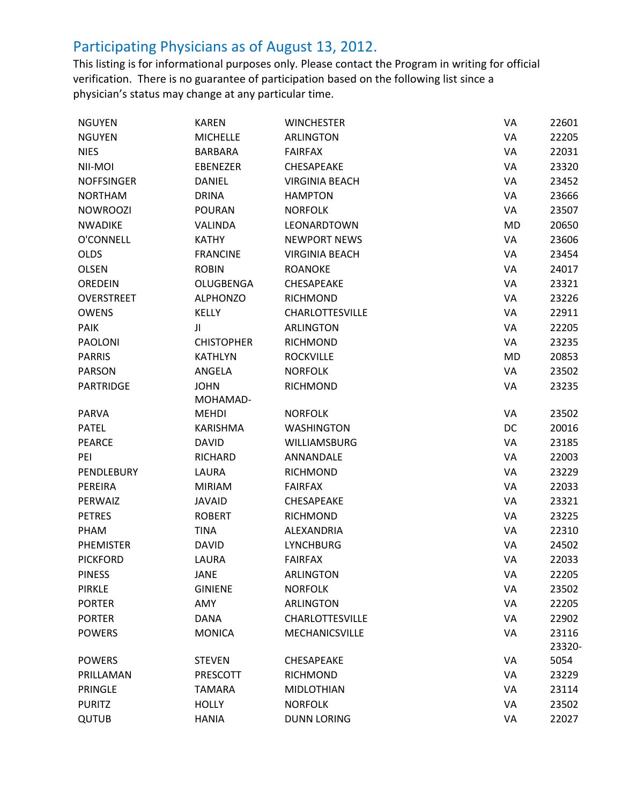| <b>NGUYEN</b>     | <b>KAREN</b>      | <b>WINCHESTER</b>      | VA        | 22601  |
|-------------------|-------------------|------------------------|-----------|--------|
| <b>NGUYEN</b>     | <b>MICHELLE</b>   | <b>ARLINGTON</b>       | VA        | 22205  |
| <b>NIES</b>       | <b>BARBARA</b>    | <b>FAIRFAX</b>         | VA        | 22031  |
| NII-MOI           | <b>EBENEZER</b>   | CHESAPEAKE             | VA        | 23320  |
| <b>NOFFSINGER</b> | <b>DANIEL</b>     | <b>VIRGINIA BEACH</b>  | VA        | 23452  |
| <b>NORTHAM</b>    | <b>DRINA</b>      | <b>HAMPTON</b>         | VA        | 23666  |
| <b>NOWROOZI</b>   | <b>POURAN</b>     | <b>NORFOLK</b>         | VA        | 23507  |
| <b>NWADIKE</b>    | <b>VALINDA</b>    | LEONARDTOWN            | <b>MD</b> | 20650  |
| O'CONNELL         | <b>KATHY</b>      | <b>NEWPORT NEWS</b>    | VA        | 23606  |
| <b>OLDS</b>       | <b>FRANCINE</b>   | <b>VIRGINIA BEACH</b>  | VA        | 23454  |
| <b>OLSEN</b>      | <b>ROBIN</b>      | <b>ROANOKE</b>         | VA        | 24017  |
| OREDEIN           | OLUGBENGA         | CHESAPEAKE             | VA        | 23321  |
| OVERSTREET        | <b>ALPHONZO</b>   | <b>RICHMOND</b>        | VA        | 23226  |
| <b>OWENS</b>      | <b>KELLY</b>      | <b>CHARLOTTESVILLE</b> | VA        | 22911  |
| <b>PAIK</b>       | JI                | <b>ARLINGTON</b>       | VA        | 22205  |
| <b>PAOLONI</b>    | <b>CHISTOPHER</b> | <b>RICHMOND</b>        | VA        | 23235  |
| <b>PARRIS</b>     | <b>KATHLYN</b>    | <b>ROCKVILLE</b>       | <b>MD</b> | 20853  |
| <b>PARSON</b>     | ANGELA            | <b>NORFOLK</b>         | VA        | 23502  |
| <b>PARTRIDGE</b>  | <b>JOHN</b>       | <b>RICHMOND</b>        | VA        | 23235  |
|                   | MOHAMAD-          |                        |           |        |
| <b>PARVA</b>      | <b>MEHDI</b>      | <b>NORFOLK</b>         | VA        | 23502  |
| <b>PATEL</b>      | KARISHMA          | <b>WASHINGTON</b>      | DC        | 20016  |
| <b>PEARCE</b>     | <b>DAVID</b>      | <b>WILLIAMSBURG</b>    | VA        | 23185  |
| PEI               | <b>RICHARD</b>    | ANNANDALE              | VA        | 22003  |
| PENDLEBURY        | LAURA             | <b>RICHMOND</b>        | VA        | 23229  |
| PEREIRA           | <b>MIRIAM</b>     | <b>FAIRFAX</b>         | VA        | 22033  |
| PERWAIZ           | <b>JAVAID</b>     | <b>CHESAPEAKE</b>      | VA        | 23321  |
| <b>PETRES</b>     | <b>ROBERT</b>     | <b>RICHMOND</b>        | VA        | 23225  |
| PHAM              | <b>TINA</b>       | ALEXANDRIA             | VA        | 22310  |
| PHEMISTER         | <b>DAVID</b>      | <b>LYNCHBURG</b>       | VA        | 24502  |
| <b>PICKFORD</b>   | LAURA             | <b>FAIRFAX</b>         | VA        | 22033  |
| <b>PINESS</b>     | <b>JANE</b>       | <b>ARLINGTON</b>       | VA        | 22205  |
| <b>PIRKLE</b>     | <b>GINIENE</b>    | <b>NORFOLK</b>         | VA        | 23502  |
| <b>PORTER</b>     | AMY               | <b>ARLINGTON</b>       | VA        | 22205  |
| <b>PORTER</b>     | <b>DANA</b>       | <b>CHARLOTTESVILLE</b> | VA        | 22902  |
| <b>POWERS</b>     | <b>MONICA</b>     | MECHANICSVILLE         | VA        | 23116  |
|                   |                   |                        |           | 23320- |
| <b>POWERS</b>     | <b>STEVEN</b>     | <b>CHESAPEAKE</b>      | VA        | 5054   |
| PRILLAMAN         | <b>PRESCOTT</b>   | <b>RICHMOND</b>        | VA        | 23229  |
| PRINGLE           | <b>TAMARA</b>     | <b>MIDLOTHIAN</b>      | VA        | 23114  |
| <b>PURITZ</b>     | <b>HOLLY</b>      | <b>NORFOLK</b>         | VA        | 23502  |
| <b>QUTUB</b>      | <b>HANIA</b>      | <b>DUNN LORING</b>     | VA        | 22027  |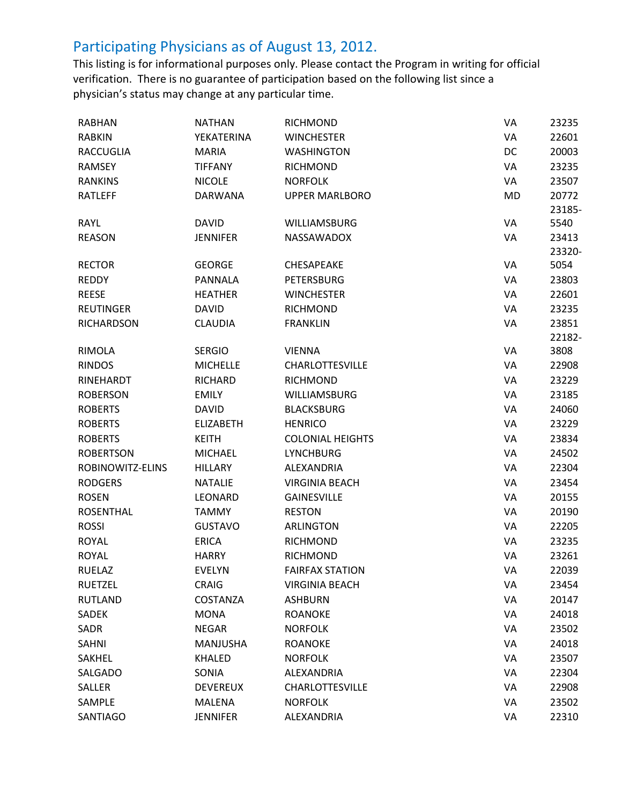| <b>RABHAN</b>     | <b>NATHAN</b>    | RICHMOND                | VA | 23235  |
|-------------------|------------------|-------------------------|----|--------|
| <b>RABKIN</b>     | YEKATERINA       | <b>WINCHESTER</b>       | VA | 22601  |
| <b>RACCUGLIA</b>  | <b>MARIA</b>     | <b>WASHINGTON</b>       | DC | 20003  |
| <b>RAMSEY</b>     | <b>TIFFANY</b>   | <b>RICHMOND</b>         | VA | 23235  |
| <b>RANKINS</b>    | <b>NICOLE</b>    | <b>NORFOLK</b>          | VA | 23507  |
| RATLEFF           | <b>DARWANA</b>   | <b>UPPER MARLBORO</b>   | MD | 20772  |
|                   |                  |                         |    | 23185- |
| RAYL              | <b>DAVID</b>     | <b>WILLIAMSBURG</b>     | VA | 5540   |
| <b>REASON</b>     | <b>JENNIFER</b>  | <b>NASSAWADOX</b>       | VA | 23413  |
|                   |                  |                         |    | 23320- |
| <b>RECTOR</b>     | <b>GEORGE</b>    | <b>CHESAPEAKE</b>       | VA | 5054   |
| <b>REDDY</b>      | <b>PANNALA</b>   | <b>PETERSBURG</b>       | VA | 23803  |
| <b>REESE</b>      | <b>HEATHER</b>   | <b>WINCHESTER</b>       | VA | 22601  |
| <b>REUTINGER</b>  | <b>DAVID</b>     | <b>RICHMOND</b>         | VA | 23235  |
| <b>RICHARDSON</b> | <b>CLAUDIA</b>   | <b>FRANKLIN</b>         | VA | 23851  |
|                   |                  |                         |    | 22182- |
| <b>RIMOLA</b>     | <b>SERGIO</b>    | <b>VIENNA</b>           | VA | 3808   |
| <b>RINDOS</b>     | <b>MICHELLE</b>  | CHARLOTTESVILLE         | VA | 22908  |
| RINEHARDT         | <b>RICHARD</b>   | <b>RICHMOND</b>         | VA | 23229  |
| <b>ROBERSON</b>   | <b>EMILY</b>     | <b>WILLIAMSBURG</b>     | VA | 23185  |
| <b>ROBERTS</b>    | <b>DAVID</b>     | <b>BLACKSBURG</b>       | VA | 24060  |
| <b>ROBERTS</b>    | <b>ELIZABETH</b> | <b>HENRICO</b>          | VA | 23229  |
| <b>ROBERTS</b>    | <b>KEITH</b>     | <b>COLONIAL HEIGHTS</b> | VA | 23834  |
| <b>ROBERTSON</b>  | <b>MICHAEL</b>   | <b>LYNCHBURG</b>        | VA | 24502  |
| ROBINOWITZ-ELINS  | <b>HILLARY</b>   | ALEXANDRIA              | VA | 22304  |
| <b>RODGERS</b>    | <b>NATALIE</b>   | <b>VIRGINIA BEACH</b>   | VA | 23454  |
| <b>ROSEN</b>      | LEONARD          | <b>GAINESVILLE</b>      | VA | 20155  |
| <b>ROSENTHAL</b>  | <b>TAMMY</b>     | <b>RESTON</b>           | VA | 20190  |
| <b>ROSSI</b>      | <b>GUSTAVO</b>   | <b>ARLINGTON</b>        | VA | 22205  |
| <b>ROYAL</b>      | <b>ERICA</b>     | <b>RICHMOND</b>         | VA | 23235  |
| <b>ROYAL</b>      | <b>HARRY</b>     | <b>RICHMOND</b>         | VA | 23261  |
| <b>RUELAZ</b>     | <b>EVELYN</b>    | <b>FAIRFAX STATION</b>  | VA | 22039  |
| <b>RUETZEL</b>    | <b>CRAIG</b>     | <b>VIRGINIA BEACH</b>   | VA | 23454  |
| <b>RUTLAND</b>    | COSTANZA         | <b>ASHBURN</b>          | VA | 20147  |
| SADEK             | <b>MONA</b>      | <b>ROANOKE</b>          | VA | 24018  |
| SADR              | <b>NEGAR</b>     | <b>NORFOLK</b>          | VA | 23502  |
| SAHNI             | MANJUSHA         | <b>ROANOKE</b>          | VA | 24018  |
| SAKHEL            | <b>KHALED</b>    | <b>NORFOLK</b>          | VA | 23507  |
| SALGADO           | SONIA            | ALEXANDRIA              | VA | 22304  |
| SALLER            | <b>DEVEREUX</b>  | CHARLOTTESVILLE         | VA | 22908  |
| SAMPLE            | MALENA           | <b>NORFOLK</b>          | VA | 23502  |
| SANTIAGO          | <b>JENNIFER</b>  | ALEXANDRIA              | VA | 22310  |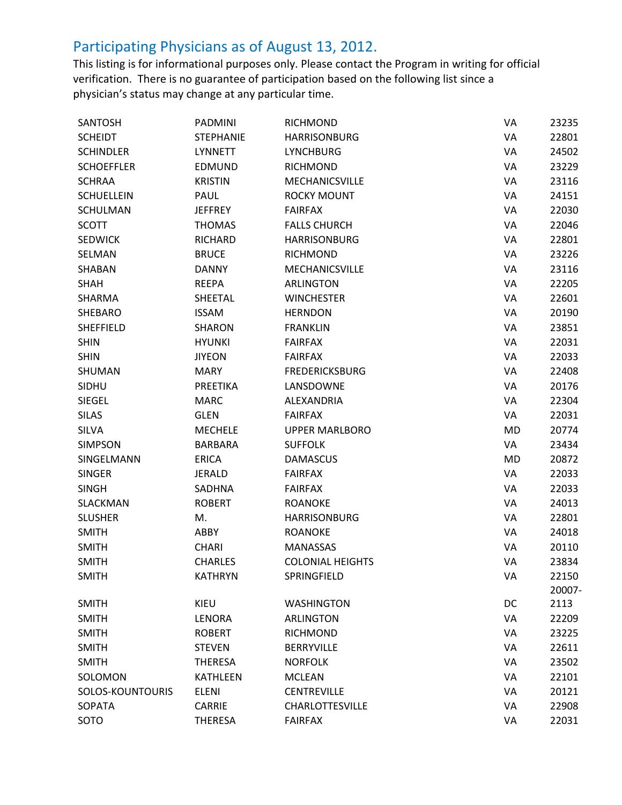| SANTOSH           | <b>PADMINI</b>   | RICHMOND                | VA        | 23235  |
|-------------------|------------------|-------------------------|-----------|--------|
| <b>SCHEIDT</b>    | <b>STEPHANIE</b> | <b>HARRISONBURG</b>     | VA        | 22801  |
| <b>SCHINDLER</b>  | <b>LYNNETT</b>   | <b>LYNCHBURG</b>        | VA        | 24502  |
| <b>SCHOEFFLER</b> | <b>EDMUND</b>    | RICHMOND                | VA        | 23229  |
| <b>SCHRAA</b>     | <b>KRISTIN</b>   | MECHANICSVILLE          | VA        | 23116  |
| <b>SCHUELLEIN</b> | PAUL             | <b>ROCKY MOUNT</b>      | VA        | 24151  |
| SCHULMAN          | <b>JEFFREY</b>   | <b>FAIRFAX</b>          | VA        | 22030  |
| <b>SCOTT</b>      | <b>THOMAS</b>    | <b>FALLS CHURCH</b>     | VA        | 22046  |
| <b>SEDWICK</b>    | RICHARD          | <b>HARRISONBURG</b>     | VA        | 22801  |
| SELMAN            | <b>BRUCE</b>     | RICHMOND                | VA        | 23226  |
| SHABAN            | <b>DANNY</b>     | MECHANICSVILLE          | VA        | 23116  |
| <b>SHAH</b>       | <b>REEPA</b>     | <b>ARLINGTON</b>        | VA        | 22205  |
| SHARMA            | SHEETAL          | <b>WINCHESTER</b>       | VA        | 22601  |
| SHEBARO           | <b>ISSAM</b>     | <b>HERNDON</b>          | VA        | 20190  |
| <b>SHEFFIELD</b>  | <b>SHARON</b>    | <b>FRANKLIN</b>         | VA        | 23851  |
| <b>SHIN</b>       | <b>HYUNKI</b>    | <b>FAIRFAX</b>          | VA        | 22031  |
| <b>SHIN</b>       | <b>JIYEON</b>    | <b>FAIRFAX</b>          | VA        | 22033  |
| SHUMAN            | <b>MARY</b>      | <b>FREDERICKSBURG</b>   | VA        | 22408  |
| SIDHU             | <b>PREETIKA</b>  | LANSDOWNE               | VA        | 20176  |
| SIEGEL            | <b>MARC</b>      | ALEXANDRIA              | VA        | 22304  |
| <b>SILAS</b>      | <b>GLEN</b>      | <b>FAIRFAX</b>          | VA        | 22031  |
| <b>SILVA</b>      | <b>MECHELE</b>   | <b>UPPER MARLBORO</b>   | <b>MD</b> | 20774  |
| <b>SIMPSON</b>    | <b>BARBARA</b>   | <b>SUFFOLK</b>          | VA        | 23434  |
| SINGELMANN        | <b>ERICA</b>     | <b>DAMASCUS</b>         | MD        | 20872  |
| <b>SINGER</b>     | <b>JERALD</b>    | <b>FAIRFAX</b>          | VA        | 22033  |
| <b>SINGH</b>      | SADHNA           | <b>FAIRFAX</b>          | VA        | 22033  |
| SLACKMAN          | <b>ROBERT</b>    | <b>ROANOKE</b>          | VA        | 24013  |
| <b>SLUSHER</b>    | M.               | <b>HARRISONBURG</b>     | VA        | 22801  |
| <b>SMITH</b>      | ABBY             | <b>ROANOKE</b>          | VA        | 24018  |
| <b>SMITH</b>      | <b>CHARI</b>     | <b>MANASSAS</b>         | VA        | 20110  |
| <b>SMITH</b>      | <b>CHARLES</b>   | <b>COLONIAL HEIGHTS</b> | VA        | 23834  |
| <b>SMITH</b>      | KATHRYN          | SPRINGFIELD             | VA        | 22150  |
|                   |                  |                         |           | 20007- |
| <b>SMITH</b>      | KIEU             | <b>WASHINGTON</b>       | DC        | 2113   |
| <b>SMITH</b>      | <b>LENORA</b>    | <b>ARLINGTON</b>        | VA        | 22209  |
| <b>SMITH</b>      | <b>ROBERT</b>    | RICHMOND                | VA        | 23225  |
| <b>SMITH</b>      | <b>STEVEN</b>    | <b>BERRYVILLE</b>       | VA        | 22611  |
| <b>SMITH</b>      | <b>THERESA</b>   | <b>NORFOLK</b>          | VA        | 23502  |
| SOLOMON           | <b>KATHLEEN</b>  | <b>MCLEAN</b>           | VA        | 22101  |
| SOLOS-KOUNTOURIS  | <b>ELENI</b>     | <b>CENTREVILLE</b>      | VA        | 20121  |
| <b>SOPATA</b>     | <b>CARRIE</b>    | <b>CHARLOTTESVILLE</b>  | VA        | 22908  |
| SOTO              | <b>THERESA</b>   | <b>FAIRFAX</b>          | VA        | 22031  |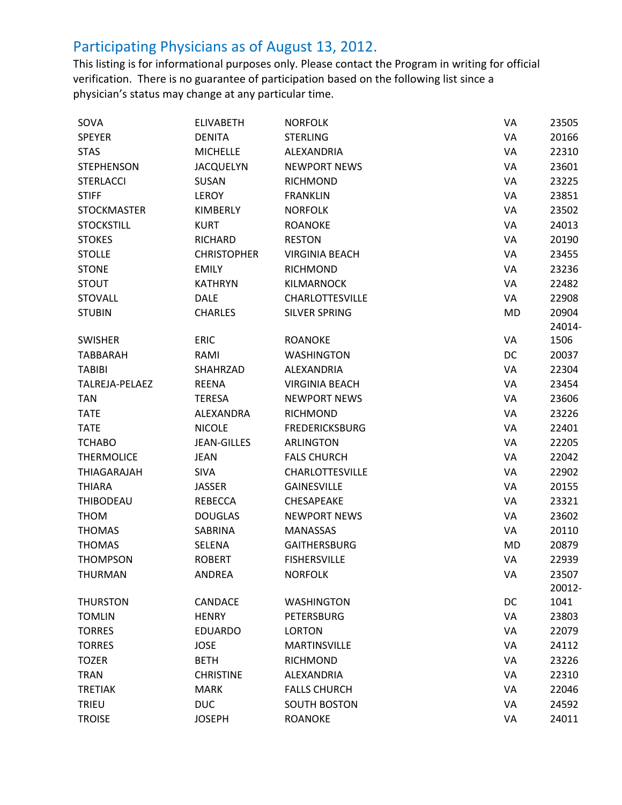| SOVA                  | <b>ELIVABETH</b>   | <b>NORFOLK</b>         | VA | 23505  |
|-----------------------|--------------------|------------------------|----|--------|
| <b>SPEYER</b>         | <b>DENITA</b>      | <b>STERLING</b>        | VA | 20166  |
| <b>STAS</b>           | <b>MICHELLE</b>    | ALEXANDRIA             | VA | 22310  |
| <b>STEPHENSON</b>     | <b>JACQUELYN</b>   | <b>NEWPORT NEWS</b>    | VA | 23601  |
| <b>STERLACCI</b>      | SUSAN              | <b>RICHMOND</b>        | VA | 23225  |
| <b>STIFF</b>          | LEROY              | <b>FRANKLIN</b>        | VA | 23851  |
| <b>STOCKMASTER</b>    | KIMBERLY           | <b>NORFOLK</b>         | VA | 23502  |
| <b>STOCKSTILL</b>     | <b>KURT</b>        | <b>ROANOKE</b>         | VA | 24013  |
| <b>STOKES</b>         | <b>RICHARD</b>     | <b>RESTON</b>          | VA | 20190  |
| <b>STOLLE</b>         | <b>CHRISTOPHER</b> | <b>VIRGINIA BEACH</b>  | VA | 23455  |
| <b>STONE</b>          | <b>EMILY</b>       | <b>RICHMOND</b>        | VA | 23236  |
| <b>STOUT</b>          | <b>KATHRYN</b>     | <b>KILMARNOCK</b>      | VA | 22482  |
| <b>STOVALL</b>        | <b>DALE</b>        | <b>CHARLOTTESVILLE</b> | VA | 22908  |
| <b>STUBIN</b>         | <b>CHARLES</b>     | <b>SILVER SPRING</b>   | MD | 20904  |
|                       |                    |                        |    | 24014- |
| <b>SWISHER</b>        | <b>ERIC</b>        | <b>ROANOKE</b>         | VA | 1506   |
| <b>TABBARAH</b>       | RAMI               | <b>WASHINGTON</b>      | DC | 20037  |
| <b>TABIBI</b>         | SHAHRZAD           | ALEXANDRIA             | VA | 22304  |
| <b>TALREJA-PELAEZ</b> | <b>REENA</b>       | <b>VIRGINIA BEACH</b>  | VA | 23454  |
| <b>TAN</b>            | TERESA             | <b>NEWPORT NEWS</b>    | VA | 23606  |
| <b>TATE</b>           | <b>ALEXANDRA</b>   | <b>RICHMOND</b>        | VA | 23226  |
| <b>TATE</b>           | <b>NICOLE</b>      | <b>FREDERICKSBURG</b>  | VA | 22401  |
| <b>TCHABO</b>         | <b>JEAN-GILLES</b> | <b>ARLINGTON</b>       | VA | 22205  |
| <b>THERMOLICE</b>     | <b>JEAN</b>        | <b>FALS CHURCH</b>     | VA | 22042  |
| <b>THIAGARAJAH</b>    | <b>SIVA</b>        | <b>CHARLOTTESVILLE</b> | VA | 22902  |
| <b>THIARA</b>         | <b>JASSER</b>      | <b>GAINESVILLE</b>     | VA | 20155  |
| <b>THIBODEAU</b>      | REBECCA            | <b>CHESAPEAKE</b>      | VA | 23321  |
| <b>THOM</b>           | <b>DOUGLAS</b>     | <b>NEWPORT NEWS</b>    | VA | 23602  |
| <b>THOMAS</b>         | SABRINA            | <b>MANASSAS</b>        | VA | 20110  |
| <b>THOMAS</b>         | <b>SELENA</b>      | <b>GAITHERSBURG</b>    | MD | 20879  |
| <b>THOMPSON</b>       | <b>ROBERT</b>      | <b>FISHERSVILLE</b>    | VA | 22939  |
| THURMAN               | <b>ANDREA</b>      | <b>NORFOLK</b>         | VA | 23507  |
|                       |                    |                        |    | 20012- |
| <b>THURSTON</b>       | <b>CANDACE</b>     | <b>WASHINGTON</b>      | DC | 1041   |
| <b>TOMLIN</b>         | <b>HENRY</b>       | <b>PETERSBURG</b>      | VA | 23803  |
| <b>TORRES</b>         | <b>EDUARDO</b>     | <b>LORTON</b>          | VA | 22079  |
| <b>TORRES</b>         | <b>JOSE</b>        | <b>MARTINSVILLE</b>    | VA | 24112  |
| <b>TOZER</b>          | <b>BETH</b>        | <b>RICHMOND</b>        | VA | 23226  |
| <b>TRAN</b>           | <b>CHRISTINE</b>   | ALEXANDRIA             | VA | 22310  |
| <b>TRETIAK</b>        | <b>MARK</b>        | <b>FALLS CHURCH</b>    | VA | 22046  |
| TRIEU                 | <b>DUC</b>         | <b>SOUTH BOSTON</b>    | VA | 24592  |
| <b>TROISE</b>         | <b>JOSEPH</b>      | <b>ROANOKE</b>         | VA | 24011  |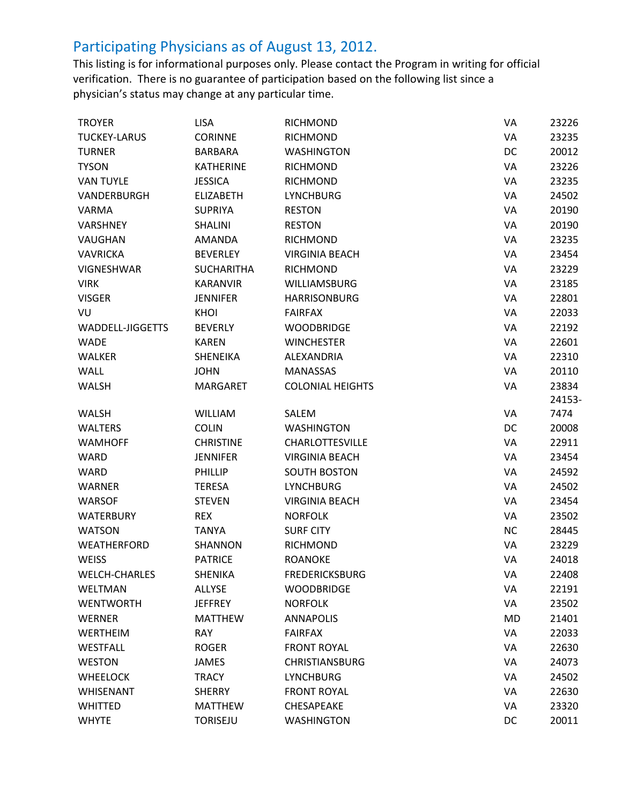| <b>TROYER</b>        | <b>LISA</b>       | <b>RICHMOND</b>         | VA        | 23226  |
|----------------------|-------------------|-------------------------|-----------|--------|
| <b>TUCKEY-LARUS</b>  | <b>CORINNE</b>    | <b>RICHMOND</b>         | VA        | 23235  |
| <b>TURNER</b>        | <b>BARBARA</b>    | <b>WASHINGTON</b>       | DC        | 20012  |
| <b>TYSON</b>         | <b>KATHERINE</b>  | <b>RICHMOND</b>         | VA        | 23226  |
| <b>VAN TUYLE</b>     | <b>JESSICA</b>    | <b>RICHMOND</b>         | VA        | 23235  |
| VANDERBURGH          | <b>ELIZABETH</b>  | <b>LYNCHBURG</b>        | VA        | 24502  |
| <b>VARMA</b>         | <b>SUPRIYA</b>    | <b>RESTON</b>           | VA        | 20190  |
| <b>VARSHNEY</b>      | <b>SHALINI</b>    | <b>RESTON</b>           | VA        | 20190  |
| VAUGHAN              | AMANDA            | <b>RICHMOND</b>         | VA        | 23235  |
| <b>VAVRICKA</b>      | <b>BEVERLEY</b>   | <b>VIRGINIA BEACH</b>   | VA        | 23454  |
| <b>VIGNESHWAR</b>    | <b>SUCHARITHA</b> | <b>RICHMOND</b>         | VA        | 23229  |
| <b>VIRK</b>          | <b>KARANVIR</b>   | <b>WILLIAMSBURG</b>     | VA        | 23185  |
| <b>VISGER</b>        | <b>JENNIFER</b>   | <b>HARRISONBURG</b>     | VA        | 22801  |
| VU                   | KHOI              | <b>FAIRFAX</b>          | VA        | 22033  |
| WADDELL-JIGGETTS     | <b>BEVERLY</b>    | <b>WOODBRIDGE</b>       | VA        | 22192  |
| <b>WADE</b>          | <b>KAREN</b>      | <b>WINCHESTER</b>       | VA        | 22601  |
| <b>WALKER</b>        | SHENEIKA          | ALEXANDRIA              | VA        | 22310  |
| WALL                 | <b>JOHN</b>       | <b>MANASSAS</b>         | VA        | 20110  |
| <b>WALSH</b>         | <b>MARGARET</b>   | <b>COLONIAL HEIGHTS</b> | VA        | 23834  |
|                      |                   |                         |           | 24153- |
| <b>WALSH</b>         | <b>WILLIAM</b>    | SALEM                   | VA        | 7474   |
| <b>WALTERS</b>       | <b>COLIN</b>      | <b>WASHINGTON</b>       | DC        | 20008  |
| <b>WAMHOFF</b>       | <b>CHRISTINE</b>  | <b>CHARLOTTESVILLE</b>  | VA        | 22911  |
| <b>WARD</b>          | <b>JENNIFER</b>   | <b>VIRGINIA BEACH</b>   | VA        | 23454  |
| <b>WARD</b>          | PHILLIP           | <b>SOUTH BOSTON</b>     | VA        | 24592  |
| <b>WARNER</b>        | <b>TERESA</b>     | <b>LYNCHBURG</b>        | VA        | 24502  |
| <b>WARSOF</b>        | <b>STEVEN</b>     | <b>VIRGINIA BEACH</b>   | VA        | 23454  |
| <b>WATERBURY</b>     | <b>REX</b>        | <b>NORFOLK</b>          | VA        | 23502  |
| <b>WATSON</b>        | <b>TANYA</b>      | <b>SURF CITY</b>        | <b>NC</b> | 28445  |
| <b>WEATHERFORD</b>   | SHANNON           | <b>RICHMOND</b>         | VA        | 23229  |
| <b>WEISS</b>         | <b>PATRICE</b>    | <b>ROANOKE</b>          | VA        | 24018  |
| <b>WELCH-CHARLES</b> | <b>SHENIKA</b>    | <b>FREDERICKSBURG</b>   | VA        | 22408  |
| WELTMAN              | <b>ALLYSE</b>     | <b>WOODBRIDGE</b>       | VA        | 22191  |
| <b>WENTWORTH</b>     | <b>JEFFREY</b>    | <b>NORFOLK</b>          | VA        | 23502  |
| <b>WERNER</b>        | <b>MATTHEW</b>    | <b>ANNAPOLIS</b>        | <b>MD</b> | 21401  |
| WERTHEIM             | <b>RAY</b>        | <b>FAIRFAX</b>          | VA        | 22033  |
| WESTFALL             | <b>ROGER</b>      | <b>FRONT ROYAL</b>      | VA        | 22630  |
| <b>WESTON</b>        | <b>JAMES</b>      | <b>CHRISTIANSBURG</b>   | VA        | 24073  |
| <b>WHEELOCK</b>      | <b>TRACY</b>      | <b>LYNCHBURG</b>        | VA        | 24502  |
| <b>WHISENANT</b>     | <b>SHERRY</b>     | <b>FRONT ROYAL</b>      | VA        | 22630  |
| <b>WHITTED</b>       | <b>MATTHEW</b>    | CHESAPEAKE              | VA        | 23320  |
| <b>WHYTE</b>         | <b>TORISEJU</b>   | <b>WASHINGTON</b>       | DC        | 20011  |